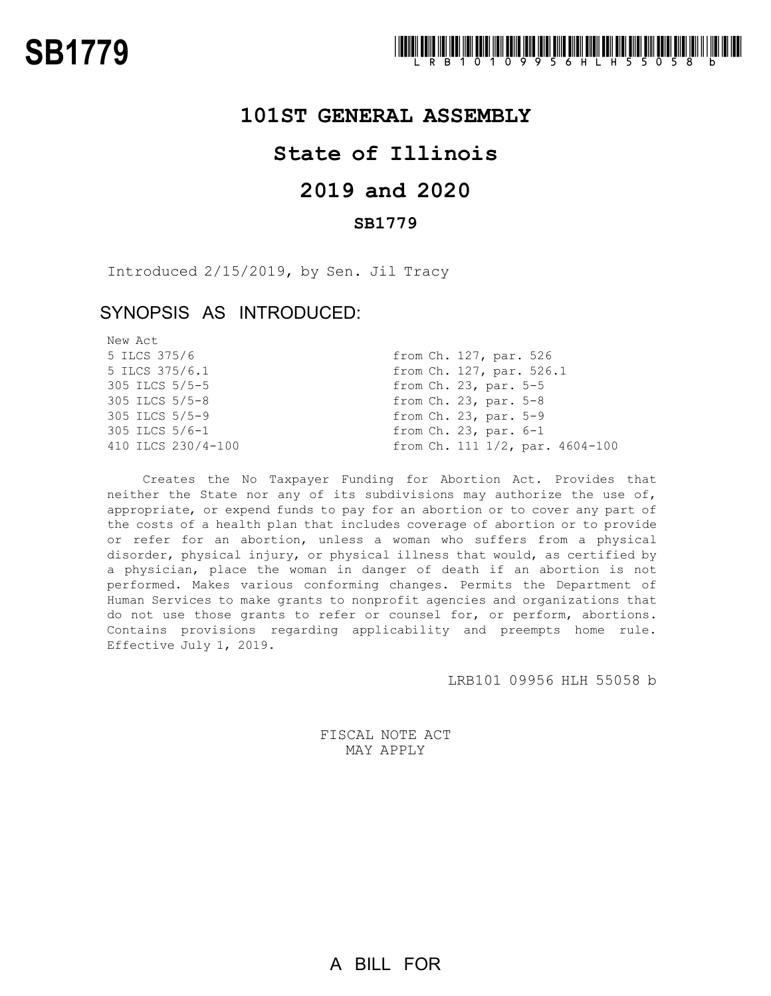### **101ST GENERAL ASSEMBLY**

# **State of Illinois**

# **2019 and 2020**

### **SB1779**

Introduced 2/15/2019, by Sen. Jil Tracy

## SYNOPSIS AS INTRODUCED:

| New Act            |                                 |
|--------------------|---------------------------------|
| 5 ILCS 375/6       | from Ch. 127, par. 526          |
| 5 ILCS 375/6.1     | from Ch. 127, par. 526.1        |
| 305 ILCS 5/5-5     | from $Ch. 23$ , par. $5-5$      |
| $305$ ILCS $5/5-8$ | from $Ch. 23$ , par. $5-8$      |
| 305 ILCS 5/5-9     | from Ch. 23, par. 5-9           |
| 305 ILCS 5/6-1     | from $Ch. 23$ , par. $6-1$      |
| 410 ILCS 230/4-100 | from Ch. 111 1/2, par. 4604-100 |

Creates the No Taxpayer Funding for Abortion Act. Provides that neither the State nor any of its subdivisions may authorize the use of, appropriate, or expend funds to pay for an abortion or to cover any part of the costs of a health plan that includes coverage of abortion or to provide or refer for an abortion, unless a woman who suffers from a physical disorder, physical injury, or physical illness that would, as certified by a physician, place the woman in danger of death if an abortion is not performed. Makes various conforming changes. Permits the Department of Human Services to make grants to nonprofit agencies and organizations that do not use those grants to refer or counsel for, or perform, abortions. Contains provisions regarding applicability and preempts home rule. Effective July 1, 2019.

LRB101 09956 HLH 55058 b

FISCAL NOTE ACT MAY APPLY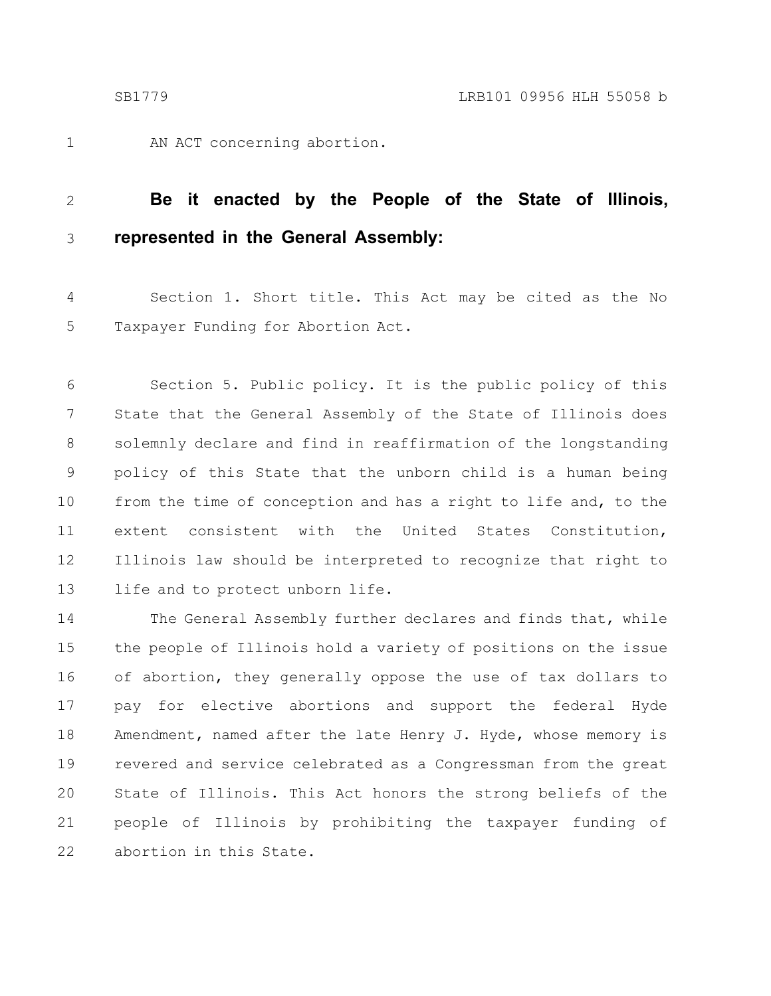1

AN ACT concerning abortion.

#### **Be it enacted by the People of the State of Illinois, represented in the General Assembly:** 2 3

Section 1. Short title. This Act may be cited as the No Taxpayer Funding for Abortion Act. 4 5

Section 5. Public policy. It is the public policy of this State that the General Assembly of the State of Illinois does solemnly declare and find in reaffirmation of the longstanding policy of this State that the unborn child is a human being from the time of conception and has a right to life and, to the extent consistent with the United States Constitution, Illinois law should be interpreted to recognize that right to life and to protect unborn life. 6 7 8 9 10 11 12 13

The General Assembly further declares and finds that, while the people of Illinois hold a variety of positions on the issue of abortion, they generally oppose the use of tax dollars to pay for elective abortions and support the federal Hyde Amendment, named after the late Henry J. Hyde, whose memory is revered and service celebrated as a Congressman from the great State of Illinois. This Act honors the strong beliefs of the people of Illinois by prohibiting the taxpayer funding of abortion in this State. 14 15 16 17 18 19 20 21 22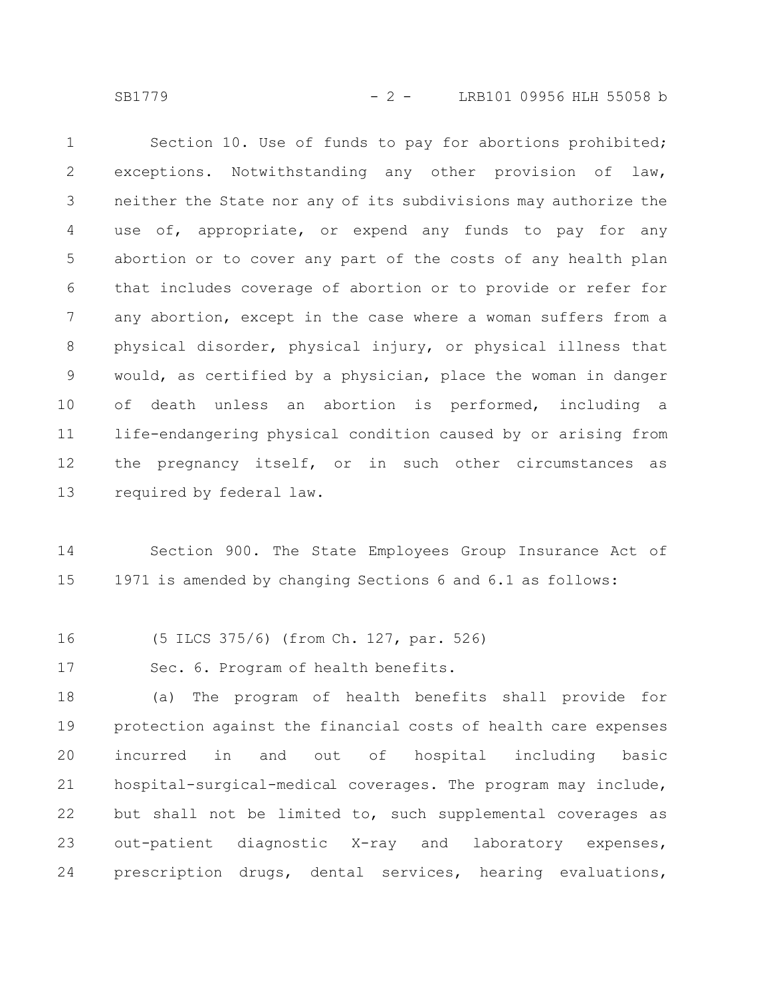SB1779 - 2 - LRB101 09956 HLH 55058 b

Section 10. Use of funds to pay for abortions prohibited; exceptions. Notwithstanding any other provision of law, neither the State nor any of its subdivisions may authorize the use of, appropriate, or expend any funds to pay for any abortion or to cover any part of the costs of any health plan that includes coverage of abortion or to provide or refer for any abortion, except in the case where a woman suffers from a physical disorder, physical injury, or physical illness that would, as certified by a physician, place the woman in danger of death unless an abortion is performed, including a life-endangering physical condition caused by or arising from the pregnancy itself, or in such other circumstances as required by federal law. 1 2 3 4 5 6 7 8 9 10 11 12 13

Section 900. The State Employees Group Insurance Act of 1971 is amended by changing Sections 6 and 6.1 as follows: 14 15

(5 ILCS 375/6) (from Ch. 127, par. 526) 16

Sec. 6. Program of health benefits. 17

(a) The program of health benefits shall provide for protection against the financial costs of health care expenses incurred in and out of hospital including basic hospital-surgical-medical coverages. The program may include, but shall not be limited to, such supplemental coverages as out-patient diagnostic X-ray and laboratory expenses, prescription drugs, dental services, hearing evaluations, 18 19 20 21 22 23 24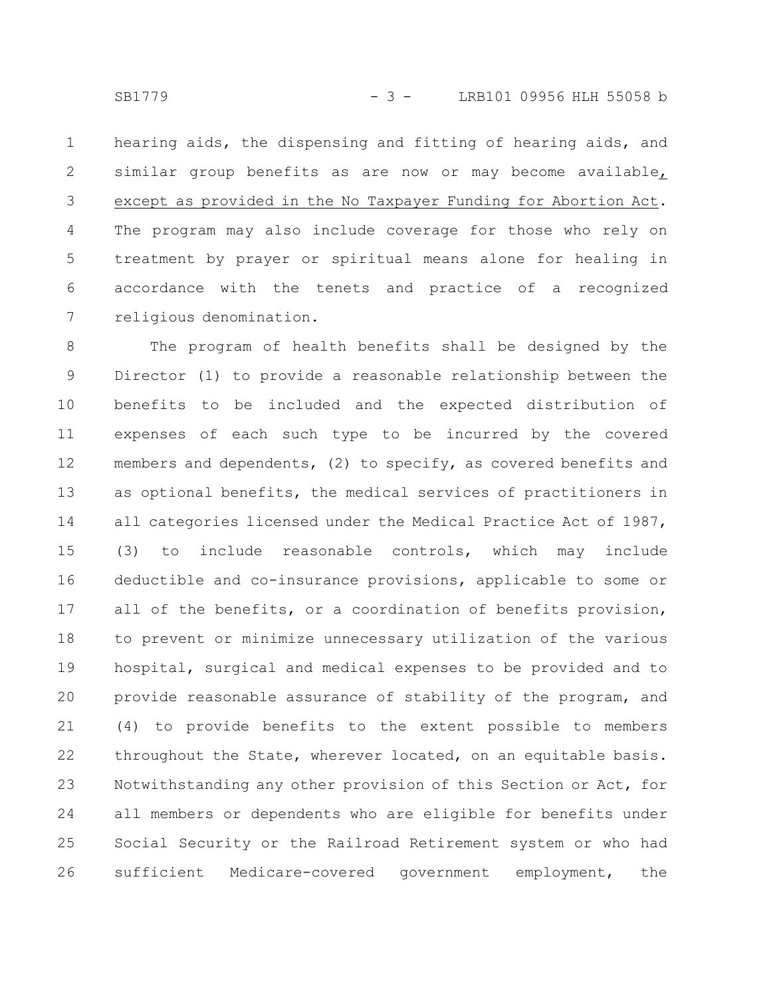hearing aids, the dispensing and fitting of hearing aids, and similar group benefits as are now or may become available, except as provided in the No Taxpayer Funding for Abortion Act. The program may also include coverage for those who rely on treatment by prayer or spiritual means alone for healing in accordance with the tenets and practice of a recognized religious denomination. 1 2 3 4 5 6 7

The program of health benefits shall be designed by the Director (1) to provide a reasonable relationship between the benefits to be included and the expected distribution of expenses of each such type to be incurred by the covered members and dependents, (2) to specify, as covered benefits and as optional benefits, the medical services of practitioners in all categories licensed under the Medical Practice Act of 1987, (3) to include reasonable controls, which may include deductible and co-insurance provisions, applicable to some or all of the benefits, or a coordination of benefits provision, to prevent or minimize unnecessary utilization of the various hospital, surgical and medical expenses to be provided and to provide reasonable assurance of stability of the program, and (4) to provide benefits to the extent possible to members throughout the State, wherever located, on an equitable basis. Notwithstanding any other provision of this Section or Act, for all members or dependents who are eligible for benefits under Social Security or the Railroad Retirement system or who had sufficient Medicare-covered government employment, the 8 9 10 11 12 13 14 15 16 17 18 19 20 21 22 23 24 25 26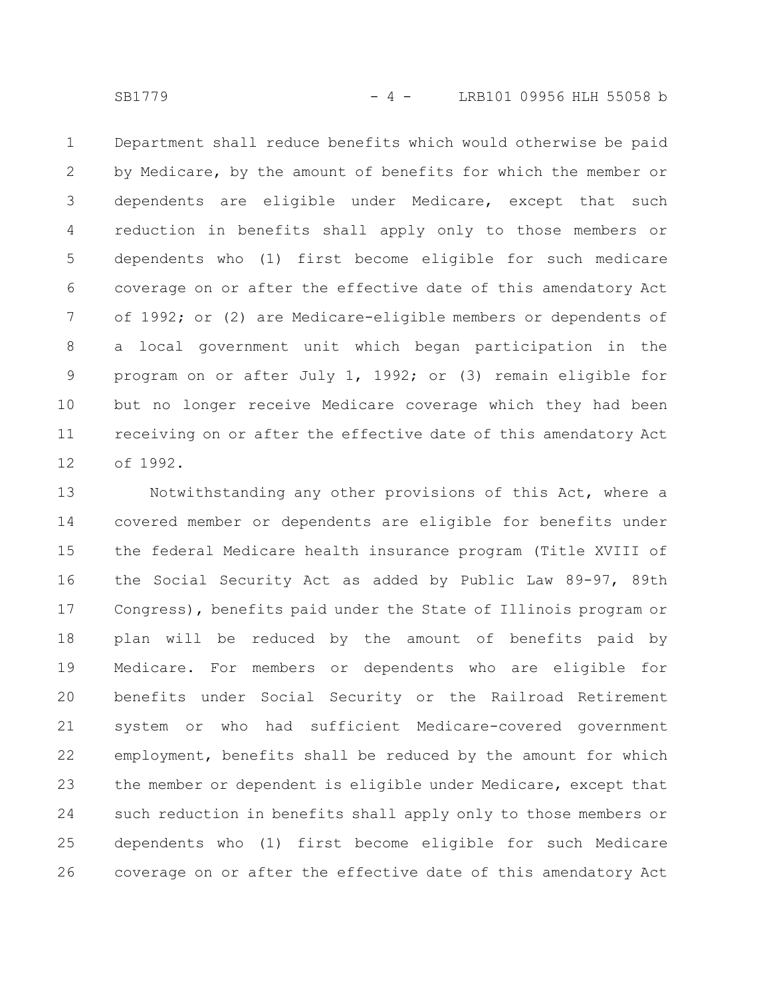SB1779 - 4 - LRB101 09956 HLH 55058 b

Department shall reduce benefits which would otherwise be paid by Medicare, by the amount of benefits for which the member or dependents are eligible under Medicare, except that such reduction in benefits shall apply only to those members or dependents who (1) first become eligible for such medicare coverage on or after the effective date of this amendatory Act of 1992; or (2) are Medicare-eligible members or dependents of a local government unit which began participation in the program on or after July 1, 1992; or (3) remain eligible for but no longer receive Medicare coverage which they had been receiving on or after the effective date of this amendatory Act of 1992. 1 2 3 4 5 6 7 8 9 10 11 12

Notwithstanding any other provisions of this Act, where a covered member or dependents are eligible for benefits under the federal Medicare health insurance program (Title XVIII of the Social Security Act as added by Public Law 89-97, 89th Congress), benefits paid under the State of Illinois program or plan will be reduced by the amount of benefits paid by Medicare. For members or dependents who are eligible for benefits under Social Security or the Railroad Retirement system or who had sufficient Medicare-covered government employment, benefits shall be reduced by the amount for which the member or dependent is eligible under Medicare, except that such reduction in benefits shall apply only to those members or dependents who (1) first become eligible for such Medicare coverage on or after the effective date of this amendatory Act 13 14 15 16 17 18 19 20 21 22 23 24 25 26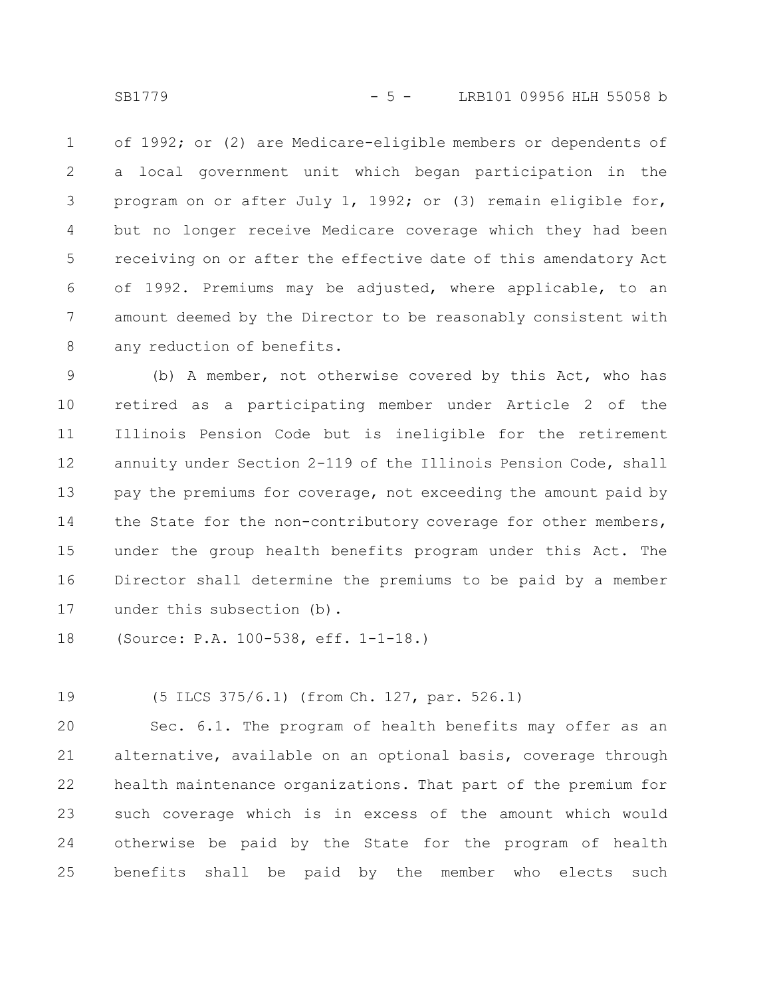of 1992; or (2) are Medicare-eligible members or dependents of a local government unit which began participation in the program on or after July 1, 1992; or (3) remain eligible for, but no longer receive Medicare coverage which they had been receiving on or after the effective date of this amendatory Act of 1992. Premiums may be adjusted, where applicable, to an amount deemed by the Director to be reasonably consistent with any reduction of benefits. 1 2 3 4 5 6 7 8

(b) A member, not otherwise covered by this Act, who has retired as a participating member under Article 2 of the Illinois Pension Code but is ineligible for the retirement annuity under Section 2-119 of the Illinois Pension Code, shall pay the premiums for coverage, not exceeding the amount paid by the State for the non-contributory coverage for other members, under the group health benefits program under this Act. The Director shall determine the premiums to be paid by a member under this subsection (b). 9 10 11 12 13 14 15 16 17

(Source: P.A. 100-538, eff. 1-1-18.) 18

(5 ILCS 375/6.1) (from Ch. 127, par. 526.1) 19

Sec. 6.1. The program of health benefits may offer as an alternative, available on an optional basis, coverage through health maintenance organizations. That part of the premium for such coverage which is in excess of the amount which would otherwise be paid by the State for the program of health benefits shall be paid by the member who elects such 20 21 22 23 24 25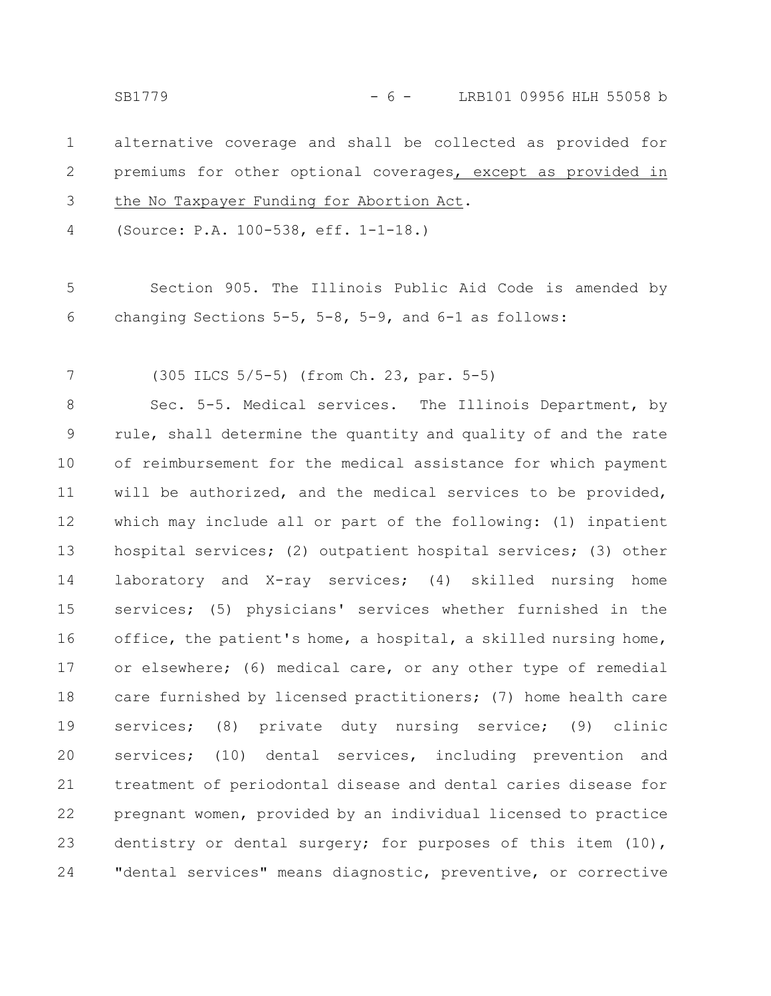SB1779 - 6 - LRB101 09956 HLH 55058 b

alternative coverage and shall be collected as provided for premiums for other optional coverages, except as provided in the No Taxpayer Funding for Abortion Act. 1 2 3

(Source: P.A. 100-538, eff. 1-1-18.) 4

Section 905. The Illinois Public Aid Code is amended by changing Sections 5-5, 5-8, 5-9, and 6-1 as follows: 5 6

(305 ILCS 5/5-5) (from Ch. 23, par. 5-5) 7

Sec. 5-5. Medical services. The Illinois Department, by rule, shall determine the quantity and quality of and the rate of reimbursement for the medical assistance for which payment will be authorized, and the medical services to be provided, which may include all or part of the following: (1) inpatient hospital services; (2) outpatient hospital services; (3) other laboratory and X-ray services; (4) skilled nursing home services; (5) physicians' services whether furnished in the office, the patient's home, a hospital, a skilled nursing home, or elsewhere; (6) medical care, or any other type of remedial care furnished by licensed practitioners; (7) home health care services; (8) private duty nursing service; (9) clinic services; (10) dental services, including prevention and treatment of periodontal disease and dental caries disease for pregnant women, provided by an individual licensed to practice dentistry or dental surgery; for purposes of this item (10), "dental services" means diagnostic, preventive, or corrective 8 9 10 11 12 13 14 15 16 17 18 19 20 21 22 23 24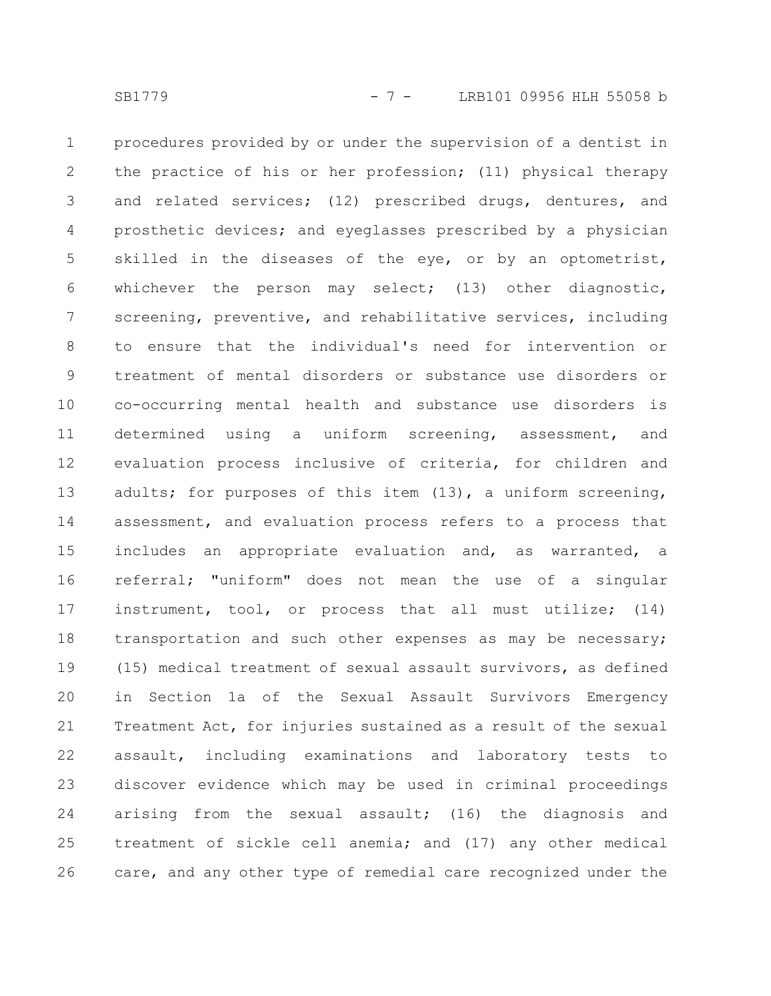procedures provided by or under the supervision of a dentist in the practice of his or her profession; (11) physical therapy and related services; (12) prescribed drugs, dentures, and prosthetic devices; and eyeglasses prescribed by a physician skilled in the diseases of the eye, or by an optometrist, whichever the person may select; (13) other diagnostic, screening, preventive, and rehabilitative services, including to ensure that the individual's need for intervention or treatment of mental disorders or substance use disorders or co-occurring mental health and substance use disorders is determined using a uniform screening, assessment, and evaluation process inclusive of criteria, for children and adults; for purposes of this item (13), a uniform screening, assessment, and evaluation process refers to a process that includes an appropriate evaluation and, as warranted, a referral; "uniform" does not mean the use of a singular instrument, tool, or process that all must utilize; (14) transportation and such other expenses as may be necessary; (15) medical treatment of sexual assault survivors, as defined in Section 1a of the Sexual Assault Survivors Emergency Treatment Act, for injuries sustained as a result of the sexual assault, including examinations and laboratory tests to discover evidence which may be used in criminal proceedings arising from the sexual assault; (16) the diagnosis and treatment of sickle cell anemia; and (17) any other medical care, and any other type of remedial care recognized under the 1 2 3 4 5 6 7 8 9 10 11 12 13 14 15 16 17 18 19 20 21 22 23 24 25 26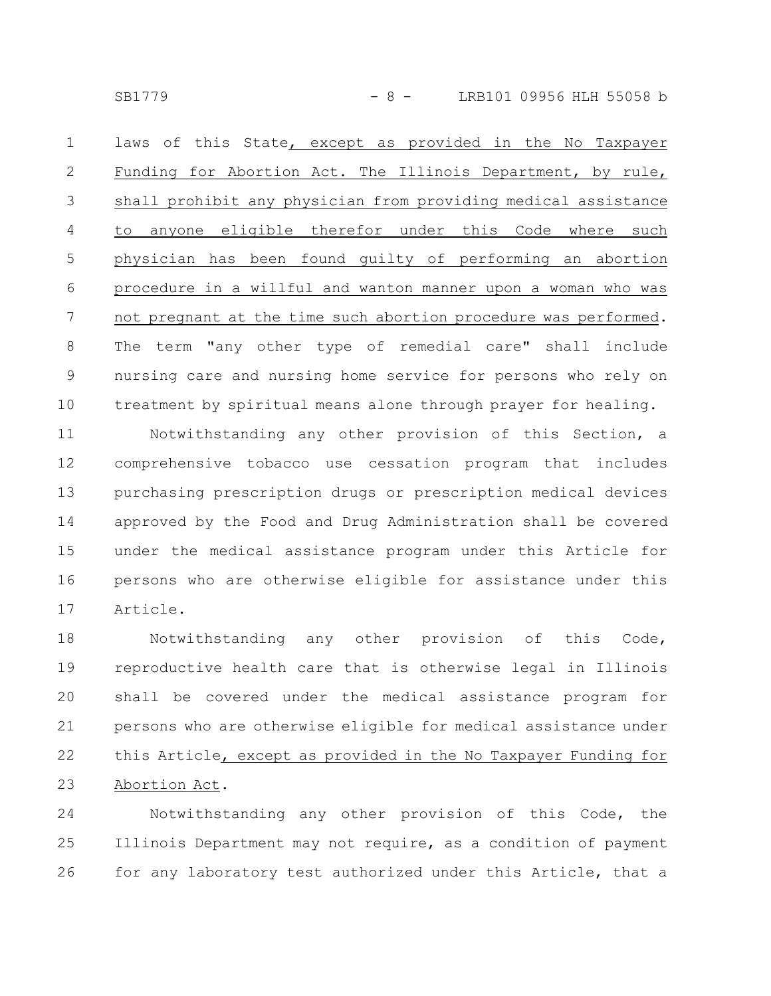SB1779 - 8 - LRB101 09956 HLH 55058 b

laws of this State, except as provided in the No Taxpayer Funding for Abortion Act. The Illinois Department, by rule, shall prohibit any physician from providing medical assistance to anyone eligible therefor under this Code where such physician has been found guilty of performing an abortion procedure in a willful and wanton manner upon a woman who was not pregnant at the time such abortion procedure was performed. The term "any other type of remedial care" shall include nursing care and nursing home service for persons who rely on treatment by spiritual means alone through prayer for healing. 1 2 3 4 5 6 7 8 9 10

Notwithstanding any other provision of this Section, a comprehensive tobacco use cessation program that includes purchasing prescription drugs or prescription medical devices approved by the Food and Drug Administration shall be covered under the medical assistance program under this Article for persons who are otherwise eligible for assistance under this Article. 11 12 13 14 15 16 17

Notwithstanding any other provision of this Code, reproductive health care that is otherwise legal in Illinois shall be covered under the medical assistance program for persons who are otherwise eligible for medical assistance under this Article, except as provided in the No Taxpayer Funding for Abortion Act. 18 19 20 21 22 23

Notwithstanding any other provision of this Code, the Illinois Department may not require, as a condition of payment for any laboratory test authorized under this Article, that a 24 25 26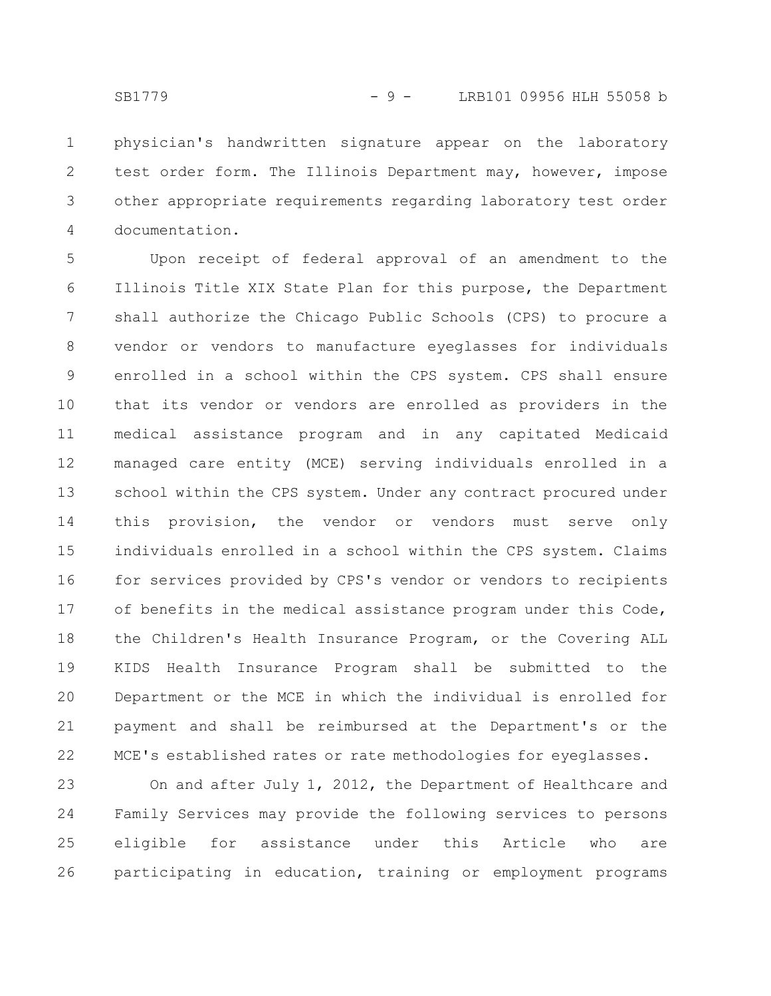physician's handwritten signature appear on the laboratory test order form. The Illinois Department may, however, impose other appropriate requirements regarding laboratory test order documentation. 1 2 3 4

Upon receipt of federal approval of an amendment to the Illinois Title XIX State Plan for this purpose, the Department shall authorize the Chicago Public Schools (CPS) to procure a vendor or vendors to manufacture eyeglasses for individuals enrolled in a school within the CPS system. CPS shall ensure that its vendor or vendors are enrolled as providers in the medical assistance program and in any capitated Medicaid managed care entity (MCE) serving individuals enrolled in a school within the CPS system. Under any contract procured under this provision, the vendor or vendors must serve only individuals enrolled in a school within the CPS system. Claims for services provided by CPS's vendor or vendors to recipients of benefits in the medical assistance program under this Code, the Children's Health Insurance Program, or the Covering ALL KIDS Health Insurance Program shall be submitted to the Department or the MCE in which the individual is enrolled for payment and shall be reimbursed at the Department's or the MCE's established rates or rate methodologies for eyeglasses. 5 6 7 8 9 10 11 12 13 14 15 16 17 18 19 20 21 22

On and after July 1, 2012, the Department of Healthcare and Family Services may provide the following services to persons eligible for assistance under this Article who are participating in education, training or employment programs 23 24 25 26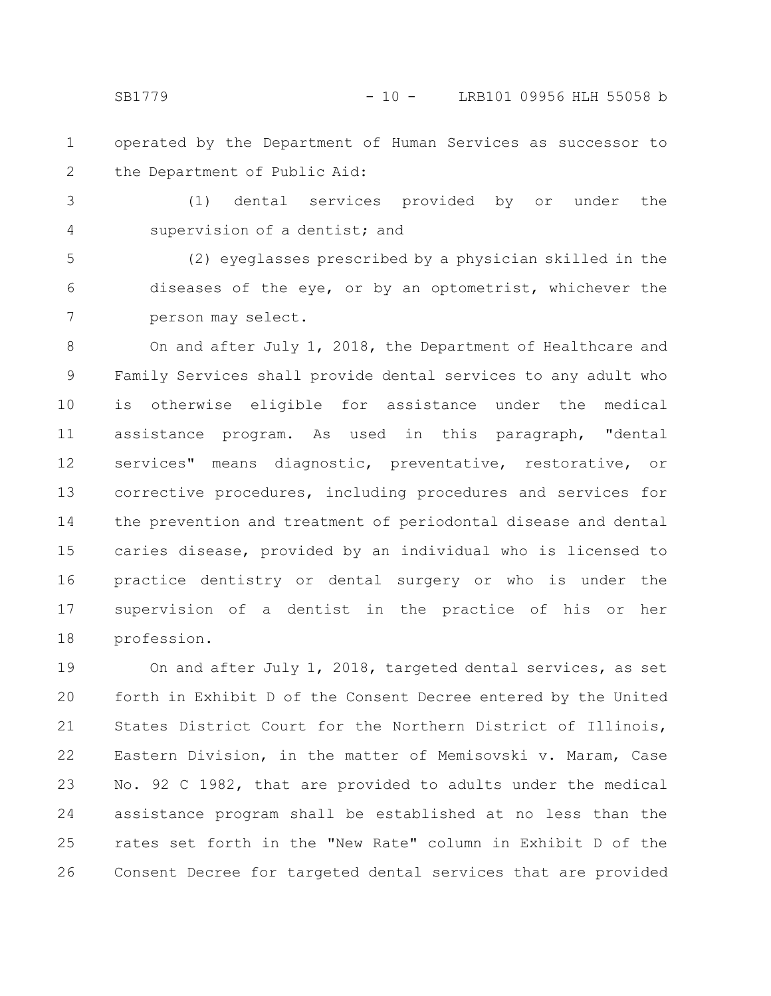operated by the Department of Human Services as successor to the Department of Public Aid: 1 2

(1) dental services provided by or under the supervision of a dentist; and 3 4

(2) eyeglasses prescribed by a physician skilled in the diseases of the eye, or by an optometrist, whichever the person may select. 5 6 7

On and after July 1, 2018, the Department of Healthcare and Family Services shall provide dental services to any adult who is otherwise eligible for assistance under the medical assistance program. As used in this paragraph, "dental services" means diagnostic, preventative, restorative, or corrective procedures, including procedures and services for the prevention and treatment of periodontal disease and dental caries disease, provided by an individual who is licensed to practice dentistry or dental surgery or who is under the supervision of a dentist in the practice of his or her profession. 8 9 10 11 12 13 14 15 16 17 18

On and after July 1, 2018, targeted dental services, as set forth in Exhibit D of the Consent Decree entered by the United States District Court for the Northern District of Illinois, Eastern Division, in the matter of Memisovski v. Maram, Case No. 92 C 1982, that are provided to adults under the medical assistance program shall be established at no less than the rates set forth in the "New Rate" column in Exhibit D of the Consent Decree for targeted dental services that are provided 19 20 21 22 23 24 25 26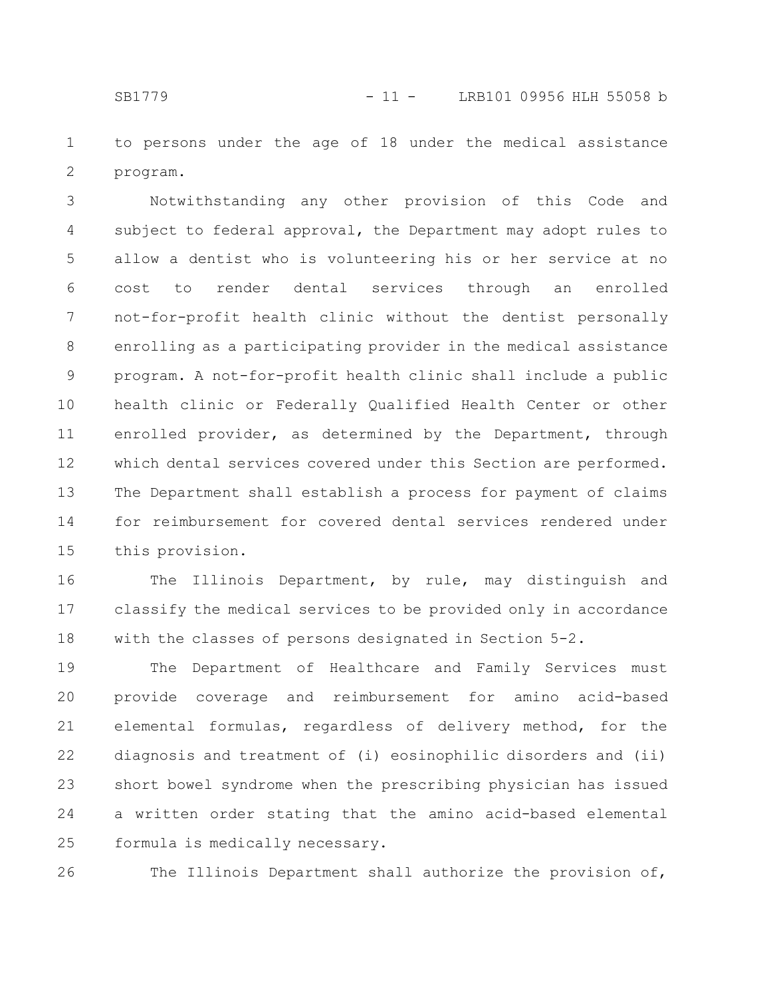to persons under the age of 18 under the medical assistance program. 1 2

Notwithstanding any other provision of this Code and subject to federal approval, the Department may adopt rules to allow a dentist who is volunteering his or her service at no cost to render dental services through an enrolled not-for-profit health clinic without the dentist personally enrolling as a participating provider in the medical assistance program. A not-for-profit health clinic shall include a public health clinic or Federally Qualified Health Center or other enrolled provider, as determined by the Department, through which dental services covered under this Section are performed. The Department shall establish a process for payment of claims for reimbursement for covered dental services rendered under this provision. 3 4 5 6 7 8 9 10 11 12 13 14 15

The Illinois Department, by rule, may distinguish and classify the medical services to be provided only in accordance with the classes of persons designated in Section 5-2. 16 17 18

The Department of Healthcare and Family Services must provide coverage and reimbursement for amino acid-based elemental formulas, regardless of delivery method, for the diagnosis and treatment of (i) eosinophilic disorders and (ii) short bowel syndrome when the prescribing physician has issued a written order stating that the amino acid-based elemental formula is medically necessary. 19 20 21 22 23 24 25

The Illinois Department shall authorize the provision of, 26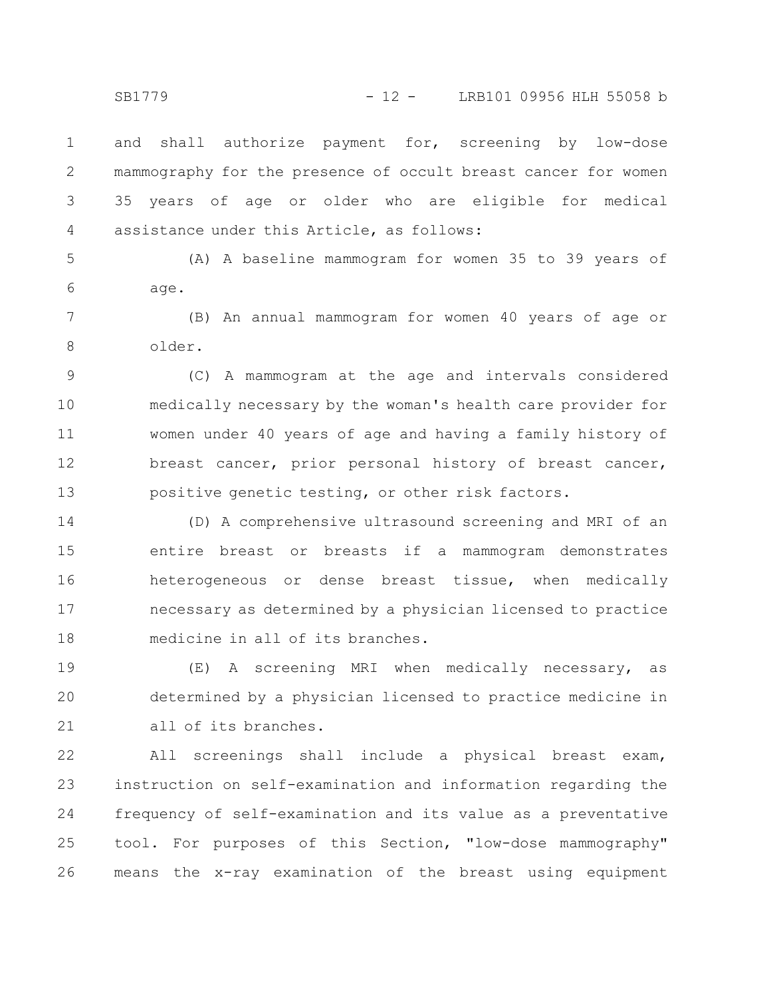and shall authorize payment for, screening by low-dose mammography for the presence of occult breast cancer for women 35 years of age or older who are eligible for medical assistance under this Article, as follows: 1 2 3 4

(A) A baseline mammogram for women 35 to 39 years of age. 5 6

(B) An annual mammogram for women 40 years of age or older. 7 8

(C) A mammogram at the age and intervals considered medically necessary by the woman's health care provider for women under 40 years of age and having a family history of breast cancer, prior personal history of breast cancer, positive genetic testing, or other risk factors. 9 10 11 12 13

(D) A comprehensive ultrasound screening and MRI of an entire breast or breasts if a mammogram demonstrates heterogeneous or dense breast tissue, when medically necessary as determined by a physician licensed to practice medicine in all of its branches. 14 15 16 17 18

(E) A screening MRI when medically necessary, as determined by a physician licensed to practice medicine in all of its branches. 19 20 21

All screenings shall include a physical breast exam, instruction on self-examination and information regarding the frequency of self-examination and its value as a preventative tool. For purposes of this Section, "low-dose mammography" means the x-ray examination of the breast using equipment 22 23 24 25 26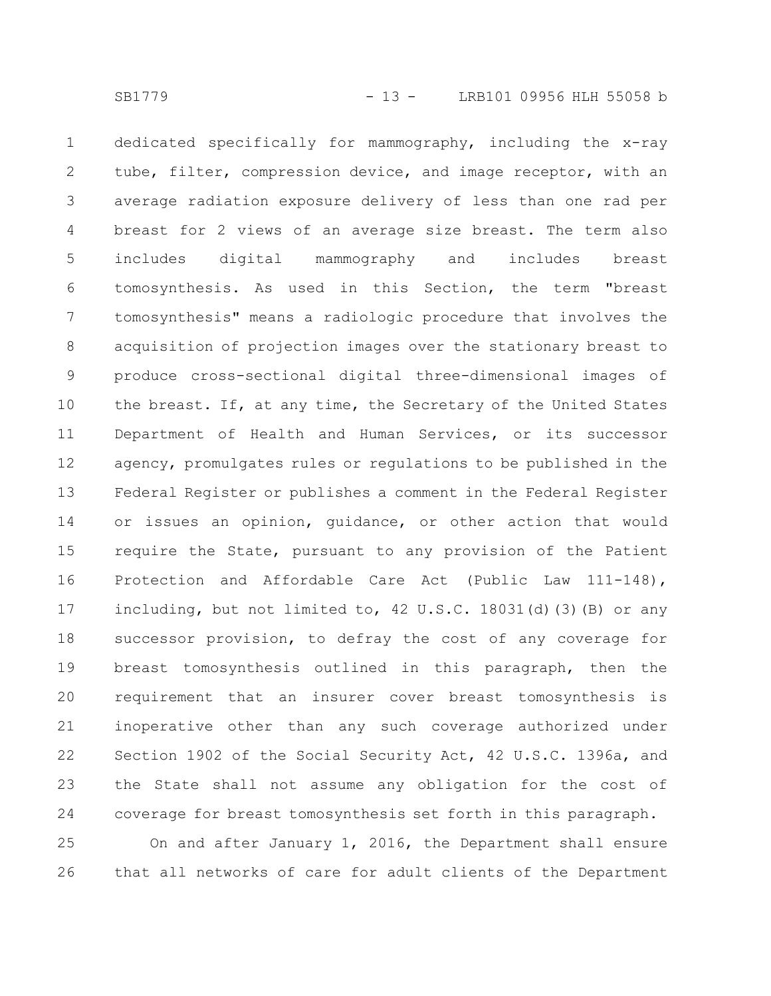dedicated specifically for mammography, including the x-ray tube, filter, compression device, and image receptor, with an average radiation exposure delivery of less than one rad per breast for 2 views of an average size breast. The term also includes digital mammography and includes breast tomosynthesis. As used in this Section, the term "breast tomosynthesis" means a radiologic procedure that involves the acquisition of projection images over the stationary breast to produce cross-sectional digital three-dimensional images of the breast. If, at any time, the Secretary of the United States Department of Health and Human Services, or its successor agency, promulgates rules or regulations to be published in the Federal Register or publishes a comment in the Federal Register or issues an opinion, guidance, or other action that would require the State, pursuant to any provision of the Patient Protection and Affordable Care Act (Public Law 111-148), including, but not limited to, 42 U.S.C. 18031(d)(3)(B) or any successor provision, to defray the cost of any coverage for breast tomosynthesis outlined in this paragraph, then the requirement that an insurer cover breast tomosynthesis is inoperative other than any such coverage authorized under Section 1902 of the Social Security Act, 42 U.S.C. 1396a, and the State shall not assume any obligation for the cost of coverage for breast tomosynthesis set forth in this paragraph. 1 2 3 4 5 6 7 8 9 10 11 12 13 14 15 16 17 18 19 20 21 22 23 24

On and after January 1, 2016, the Department shall ensure that all networks of care for adult clients of the Department 25 26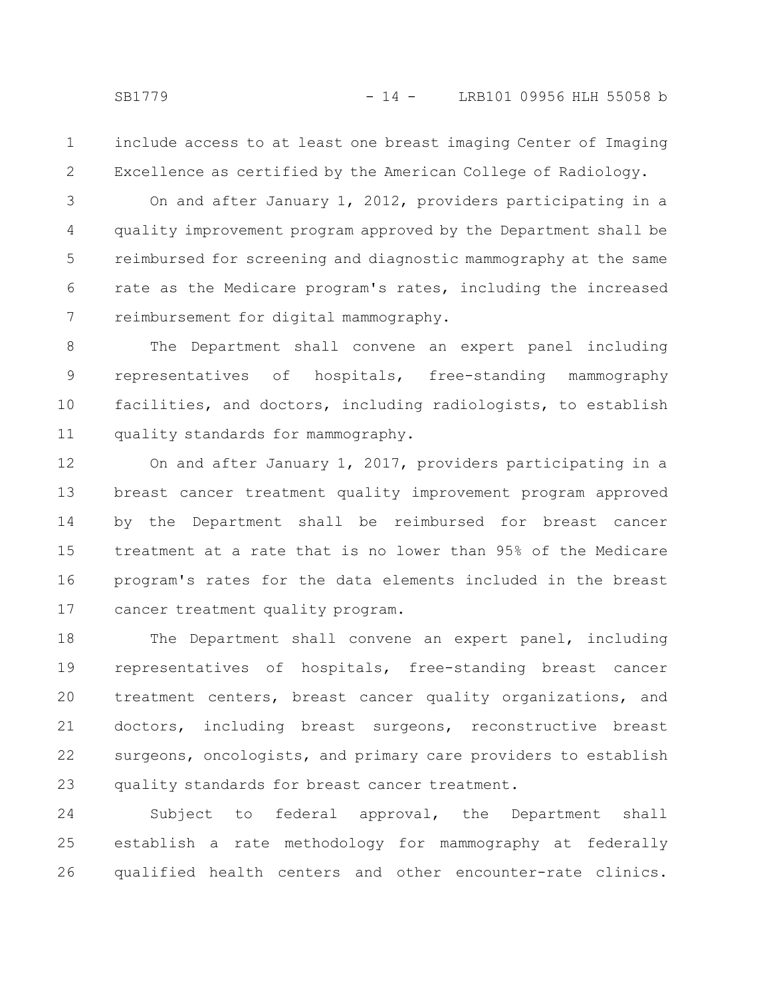include access to at least one breast imaging Center of Imaging Excellence as certified by the American College of Radiology. 1 2

On and after January 1, 2012, providers participating in a quality improvement program approved by the Department shall be reimbursed for screening and diagnostic mammography at the same rate as the Medicare program's rates, including the increased reimbursement for digital mammography. 3 4 5 6 7

The Department shall convene an expert panel including representatives of hospitals, free-standing mammography facilities, and doctors, including radiologists, to establish quality standards for mammography. 8 9 10 11

On and after January 1, 2017, providers participating in a breast cancer treatment quality improvement program approved by the Department shall be reimbursed for breast cancer treatment at a rate that is no lower than 95% of the Medicare program's rates for the data elements included in the breast cancer treatment quality program. 12 13 14 15 16 17

The Department shall convene an expert panel, including representatives of hospitals, free-standing breast cancer treatment centers, breast cancer quality organizations, and doctors, including breast surgeons, reconstructive breast surgeons, oncologists, and primary care providers to establish quality standards for breast cancer treatment. 18 19 20 21 22 23

Subject to federal approval, the Department shall establish a rate methodology for mammography at federally qualified health centers and other encounter-rate clinics. 24 25 26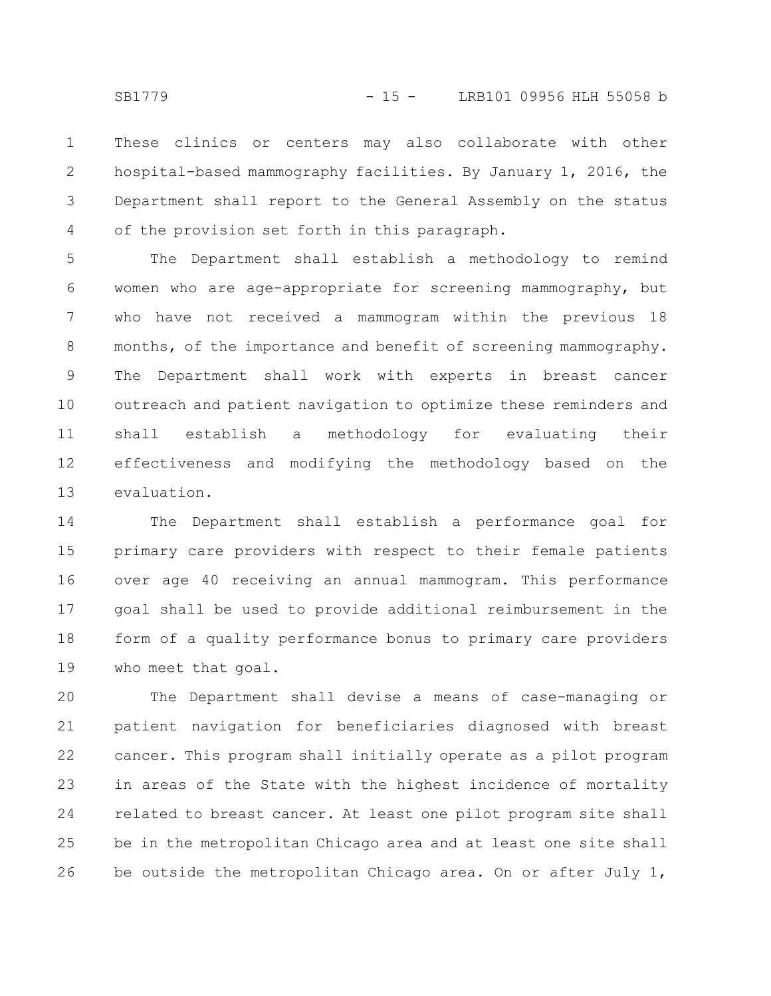These clinics or centers may also collaborate with other hospital-based mammography facilities. By January 1, 2016, the Department shall report to the General Assembly on the status of the provision set forth in this paragraph. 1 2 3 4

The Department shall establish a methodology to remind women who are age-appropriate for screening mammography, but who have not received a mammogram within the previous 18 months, of the importance and benefit of screening mammography. The Department shall work with experts in breast cancer outreach and patient navigation to optimize these reminders and shall establish a methodology for evaluating their effectiveness and modifying the methodology based on the evaluation. 5 6 7 8 9 10 11 12 13

The Department shall establish a performance goal for primary care providers with respect to their female patients over age 40 receiving an annual mammogram. This performance goal shall be used to provide additional reimbursement in the form of a quality performance bonus to primary care providers who meet that goal. 14 15 16 17 18 19

The Department shall devise a means of case-managing or patient navigation for beneficiaries diagnosed with breast cancer. This program shall initially operate as a pilot program in areas of the State with the highest incidence of mortality related to breast cancer. At least one pilot program site shall be in the metropolitan Chicago area and at least one site shall be outside the metropolitan Chicago area. On or after July 1, 20 21 22 23 24 25 26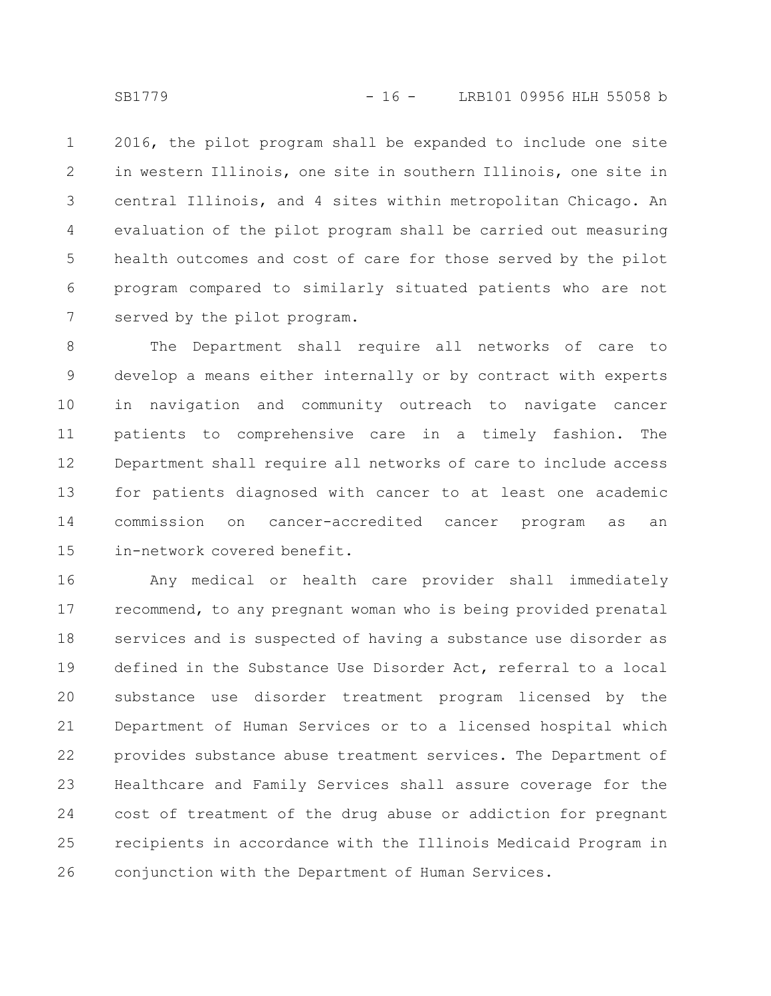2016, the pilot program shall be expanded to include one site in western Illinois, one site in southern Illinois, one site in central Illinois, and 4 sites within metropolitan Chicago. An evaluation of the pilot program shall be carried out measuring health outcomes and cost of care for those served by the pilot program compared to similarly situated patients who are not served by the pilot program. 1 2 3 4 5 6 7

The Department shall require all networks of care to develop a means either internally or by contract with experts in navigation and community outreach to navigate cancer patients to comprehensive care in a timely fashion. The Department shall require all networks of care to include access for patients diagnosed with cancer to at least one academic commission on cancer-accredited cancer program as an in-network covered benefit. 8 9 10 11 12 13 14 15

Any medical or health care provider shall immediately recommend, to any pregnant woman who is being provided prenatal services and is suspected of having a substance use disorder as defined in the Substance Use Disorder Act, referral to a local substance use disorder treatment program licensed by the Department of Human Services or to a licensed hospital which provides substance abuse treatment services. The Department of Healthcare and Family Services shall assure coverage for the cost of treatment of the drug abuse or addiction for pregnant recipients in accordance with the Illinois Medicaid Program in conjunction with the Department of Human Services. 16 17 18 19 20 21 22 23 24 25 26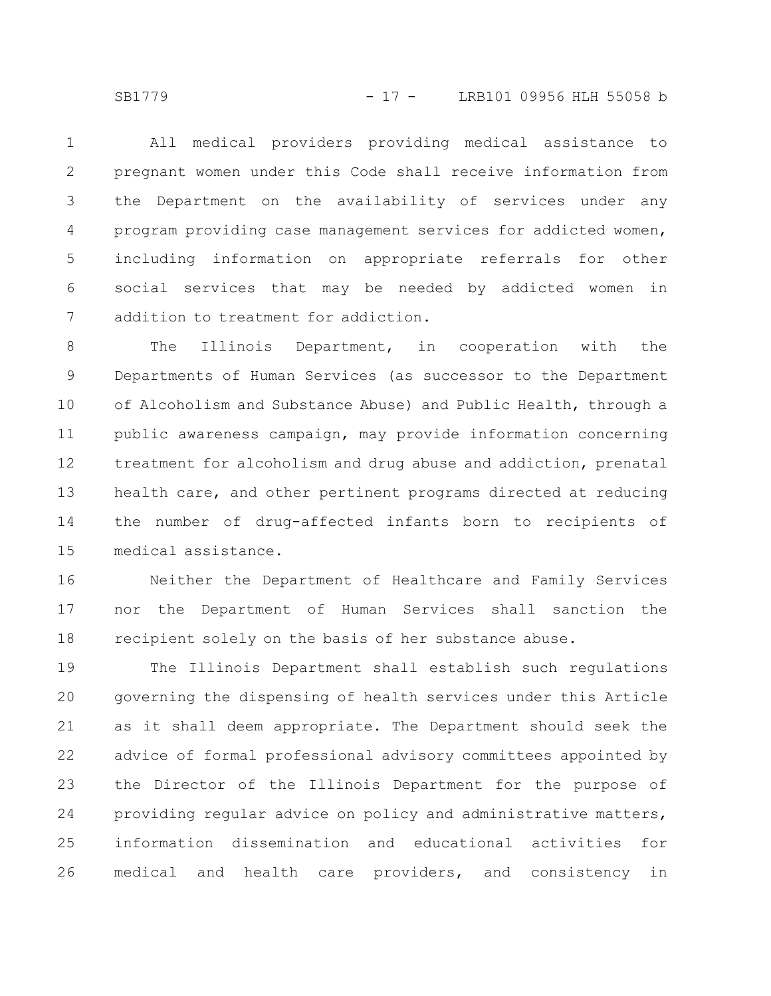SB1779 - 17 - LRB101 09956 HLH 55058 b

All medical providers providing medical assistance to pregnant women under this Code shall receive information from the Department on the availability of services under any program providing case management services for addicted women, including information on appropriate referrals for other social services that may be needed by addicted women in addition to treatment for addiction. 1 2 3 4 5 6 7

The Illinois Department, in cooperation with the Departments of Human Services (as successor to the Department of Alcoholism and Substance Abuse) and Public Health, through a public awareness campaign, may provide information concerning treatment for alcoholism and drug abuse and addiction, prenatal health care, and other pertinent programs directed at reducing the number of drug-affected infants born to recipients of medical assistance. 8 9 10 11 12 13 14 15

Neither the Department of Healthcare and Family Services nor the Department of Human Services shall sanction the recipient solely on the basis of her substance abuse. 16 17 18

The Illinois Department shall establish such regulations governing the dispensing of health services under this Article as it shall deem appropriate. The Department should seek the advice of formal professional advisory committees appointed by the Director of the Illinois Department for the purpose of providing regular advice on policy and administrative matters, information dissemination and educational activities for medical and health care providers, and consistency in 19 20 21 22 23 24 25 26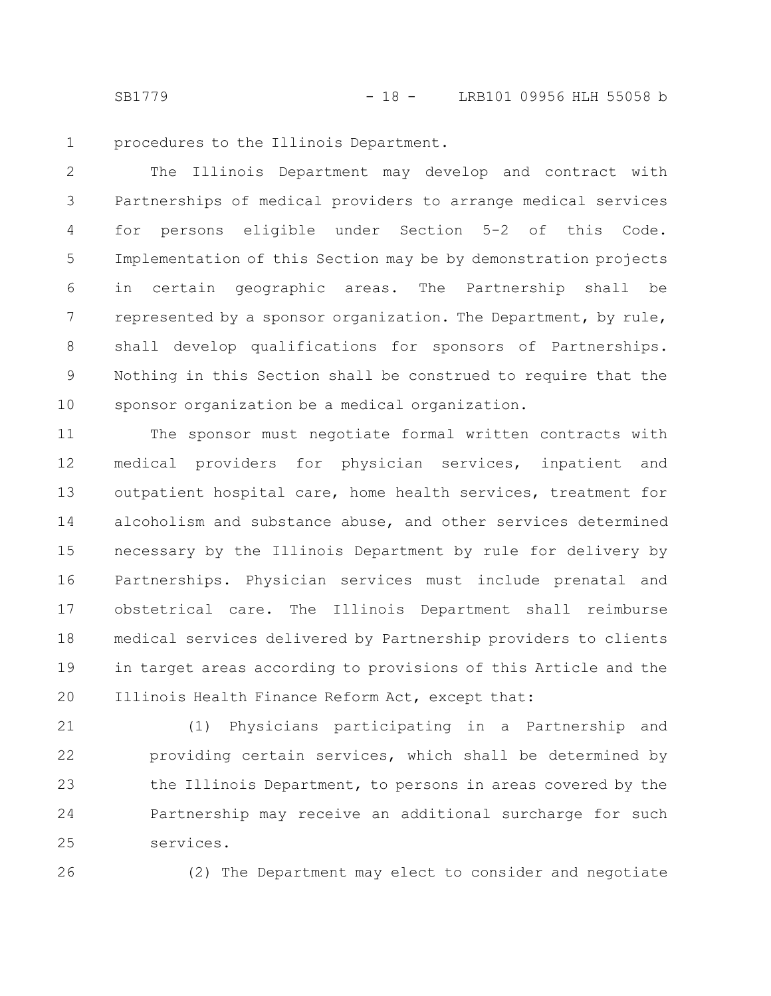SB1779 - 18 - LRB101 09956 HLH 55058 b

procedures to the Illinois Department. 1

The Illinois Department may develop and contract with Partnerships of medical providers to arrange medical services for persons eligible under Section 5-2 of this Code. Implementation of this Section may be by demonstration projects in certain geographic areas. The Partnership shall be represented by a sponsor organization. The Department, by rule, shall develop qualifications for sponsors of Partnerships. Nothing in this Section shall be construed to require that the sponsor organization be a medical organization. 2 3 4 5 6 7 8 9 10

The sponsor must negotiate formal written contracts with medical providers for physician services, inpatient and outpatient hospital care, home health services, treatment for alcoholism and substance abuse, and other services determined necessary by the Illinois Department by rule for delivery by Partnerships. Physician services must include prenatal and obstetrical care. The Illinois Department shall reimburse medical services delivered by Partnership providers to clients in target areas according to provisions of this Article and the Illinois Health Finance Reform Act, except that: 11 12 13 14 15 16 17 18 19 20

(1) Physicians participating in a Partnership and providing certain services, which shall be determined by the Illinois Department, to persons in areas covered by the Partnership may receive an additional surcharge for such services. 21 22 23 24 25

26

(2) The Department may elect to consider and negotiate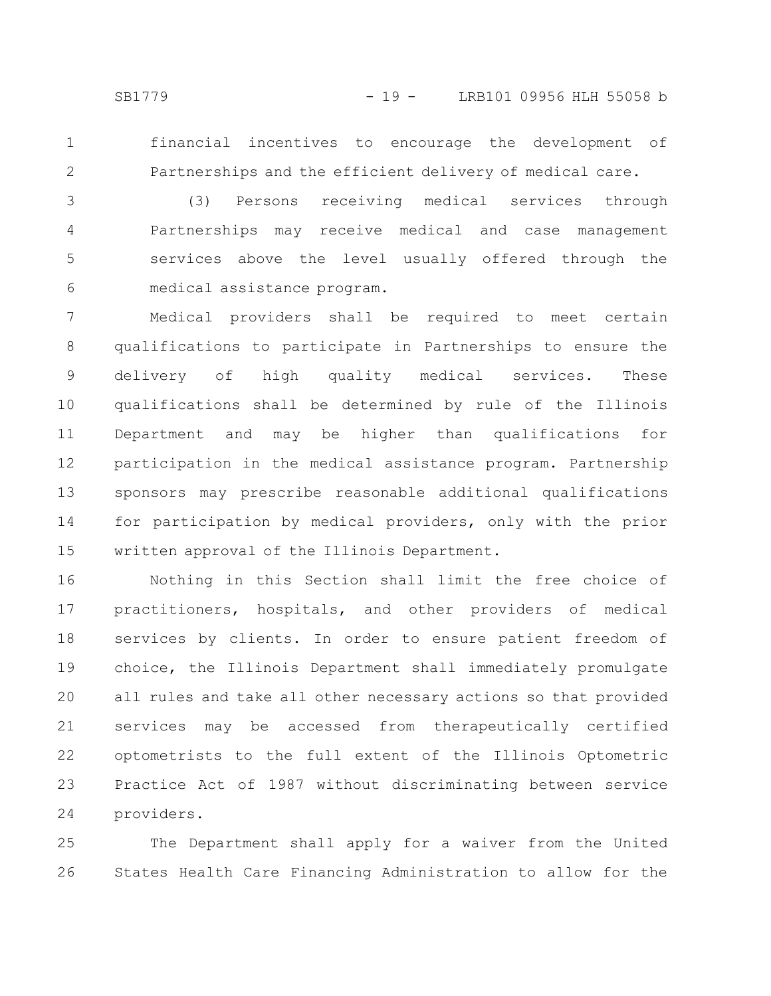1 2 financial incentives to encourage the development of Partnerships and the efficient delivery of medical care.

(3) Persons receiving medical services through Partnerships may receive medical and case management services above the level usually offered through the medical assistance program. 3 4 5 6

Medical providers shall be required to meet certain qualifications to participate in Partnerships to ensure the delivery of high quality medical services. These qualifications shall be determined by rule of the Illinois Department and may be higher than qualifications for participation in the medical assistance program. Partnership sponsors may prescribe reasonable additional qualifications for participation by medical providers, only with the prior written approval of the Illinois Department. 7 8 9 10 11 12 13 14 15

Nothing in this Section shall limit the free choice of practitioners, hospitals, and other providers of medical services by clients. In order to ensure patient freedom of choice, the Illinois Department shall immediately promulgate all rules and take all other necessary actions so that provided services may be accessed from therapeutically certified optometrists to the full extent of the Illinois Optometric Practice Act of 1987 without discriminating between service providers. 16 17 18 19 20 21 22 23 24

The Department shall apply for a waiver from the United States Health Care Financing Administration to allow for the 25 26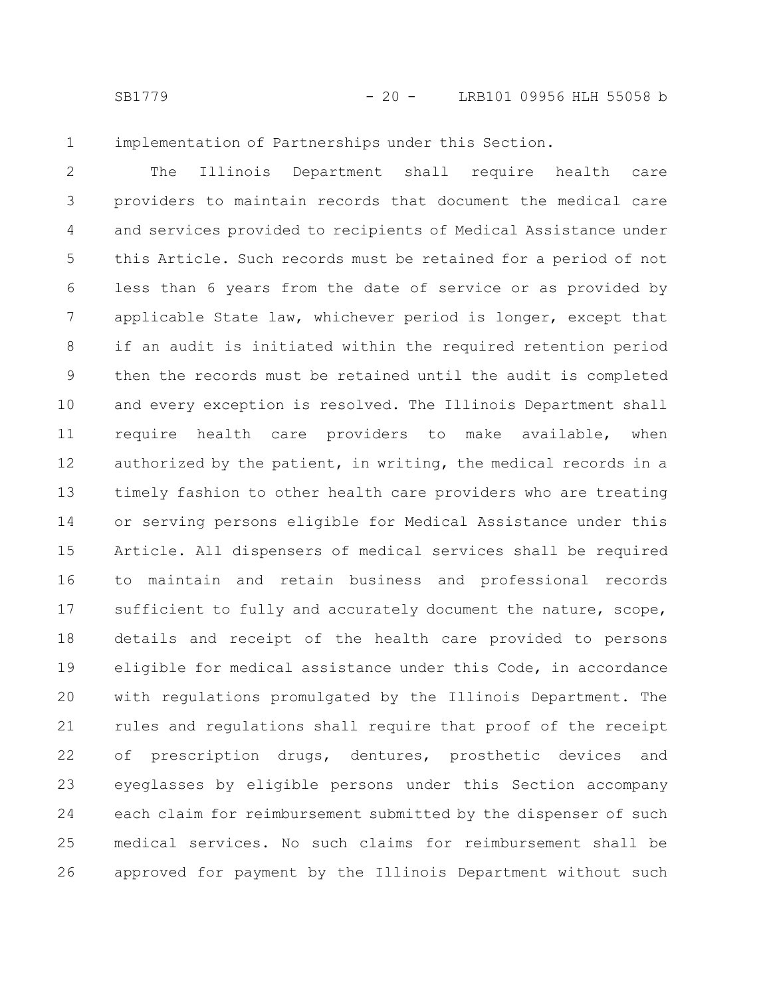1

implementation of Partnerships under this Section.

The Illinois Department shall require health care providers to maintain records that document the medical care and services provided to recipients of Medical Assistance under this Article. Such records must be retained for a period of not less than 6 years from the date of service or as provided by applicable State law, whichever period is longer, except that if an audit is initiated within the required retention period then the records must be retained until the audit is completed and every exception is resolved. The Illinois Department shall require health care providers to make available, when authorized by the patient, in writing, the medical records in a timely fashion to other health care providers who are treating or serving persons eligible for Medical Assistance under this Article. All dispensers of medical services shall be required to maintain and retain business and professional records sufficient to fully and accurately document the nature, scope, details and receipt of the health care provided to persons eligible for medical assistance under this Code, in accordance with regulations promulgated by the Illinois Department. The rules and regulations shall require that proof of the receipt of prescription drugs, dentures, prosthetic devices and eyeglasses by eligible persons under this Section accompany each claim for reimbursement submitted by the dispenser of such medical services. No such claims for reimbursement shall be approved for payment by the Illinois Department without such 2 3 4 5 6 7 8 9 10 11 12 13 14 15 16 17 18 19 20 21 22 23 24 25 26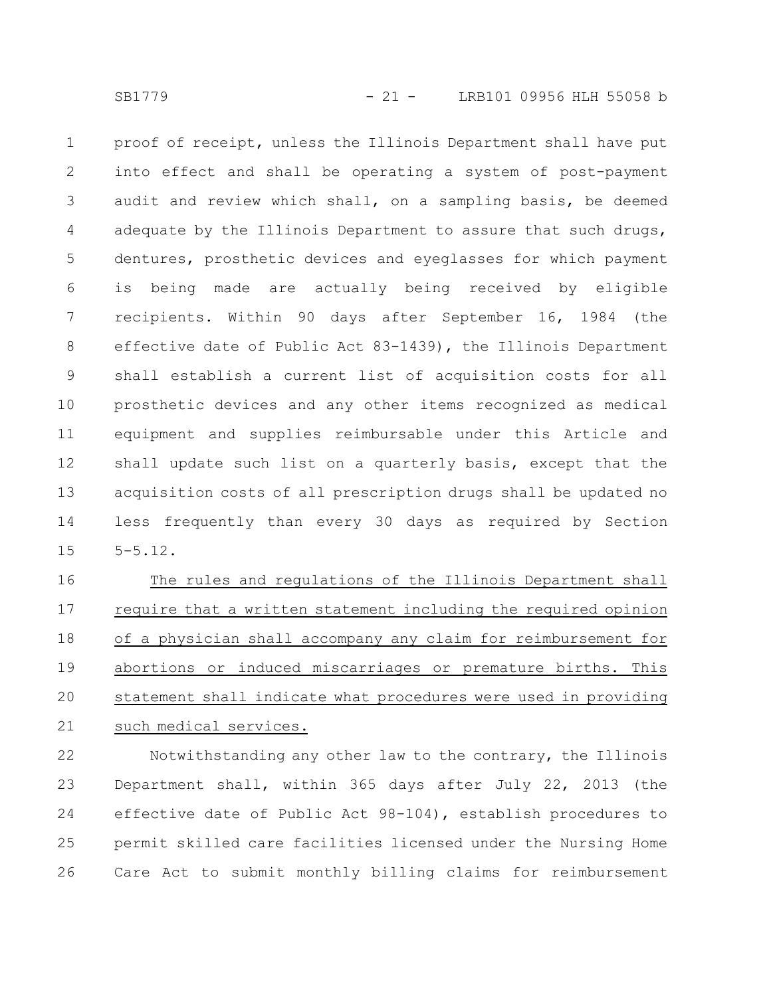proof of receipt, unless the Illinois Department shall have put into effect and shall be operating a system of post-payment audit and review which shall, on a sampling basis, be deemed adequate by the Illinois Department to assure that such drugs, dentures, prosthetic devices and eyeglasses for which payment is being made are actually being received by eligible recipients. Within 90 days after September 16, 1984 (the effective date of Public Act 83-1439), the Illinois Department shall establish a current list of acquisition costs for all prosthetic devices and any other items recognized as medical equipment and supplies reimbursable under this Article and shall update such list on a quarterly basis, except that the acquisition costs of all prescription drugs shall be updated no less frequently than every 30 days as required by Section 5-5.12. 1 2 3 4 5 6 7 8 9 10 11 12 13 14 15

The rules and regulations of the Illinois Department shall require that a written statement including the required opinion of a physician shall accompany any claim for reimbursement for abortions or induced miscarriages or premature births. This statement shall indicate what procedures were used in providing such medical services. 16 17 18 19 20 21

Notwithstanding any other law to the contrary, the Illinois Department shall, within 365 days after July 22, 2013 (the effective date of Public Act 98-104), establish procedures to permit skilled care facilities licensed under the Nursing Home Care Act to submit monthly billing claims for reimbursement 22 23 24 25 26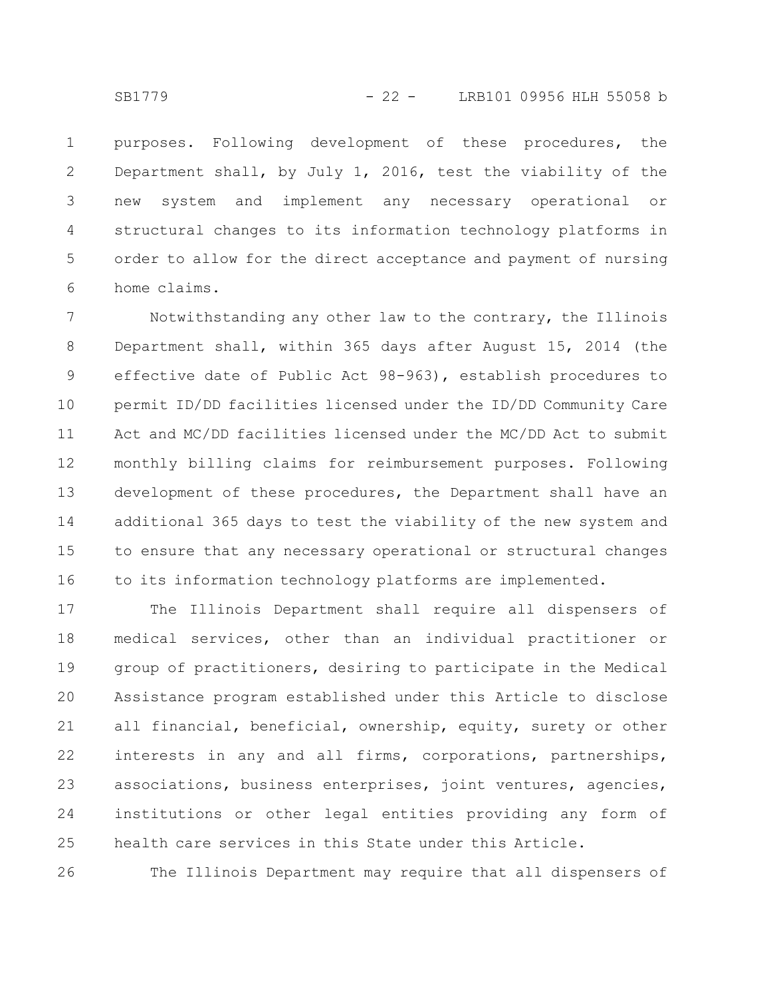purposes. Following development of these procedures, the Department shall, by July 1, 2016, test the viability of the new system and implement any necessary operational or structural changes to its information technology platforms in order to allow for the direct acceptance and payment of nursing home claims. 1 2 3 4 5 6

Notwithstanding any other law to the contrary, the Illinois Department shall, within 365 days after August 15, 2014 (the effective date of Public Act 98-963), establish procedures to permit ID/DD facilities licensed under the ID/DD Community Care Act and MC/DD facilities licensed under the MC/DD Act to submit monthly billing claims for reimbursement purposes. Following development of these procedures, the Department shall have an additional 365 days to test the viability of the new system and to ensure that any necessary operational or structural changes to its information technology platforms are implemented. 7 8 9 10 11 12 13 14 15 16

The Illinois Department shall require all dispensers of medical services, other than an individual practitioner or group of practitioners, desiring to participate in the Medical Assistance program established under this Article to disclose all financial, beneficial, ownership, equity, surety or other interests in any and all firms, corporations, partnerships, associations, business enterprises, joint ventures, agencies, institutions or other legal entities providing any form of health care services in this State under this Article. 17 18 19 20 21 22 23 24 25

The Illinois Department may require that all dispensers of 26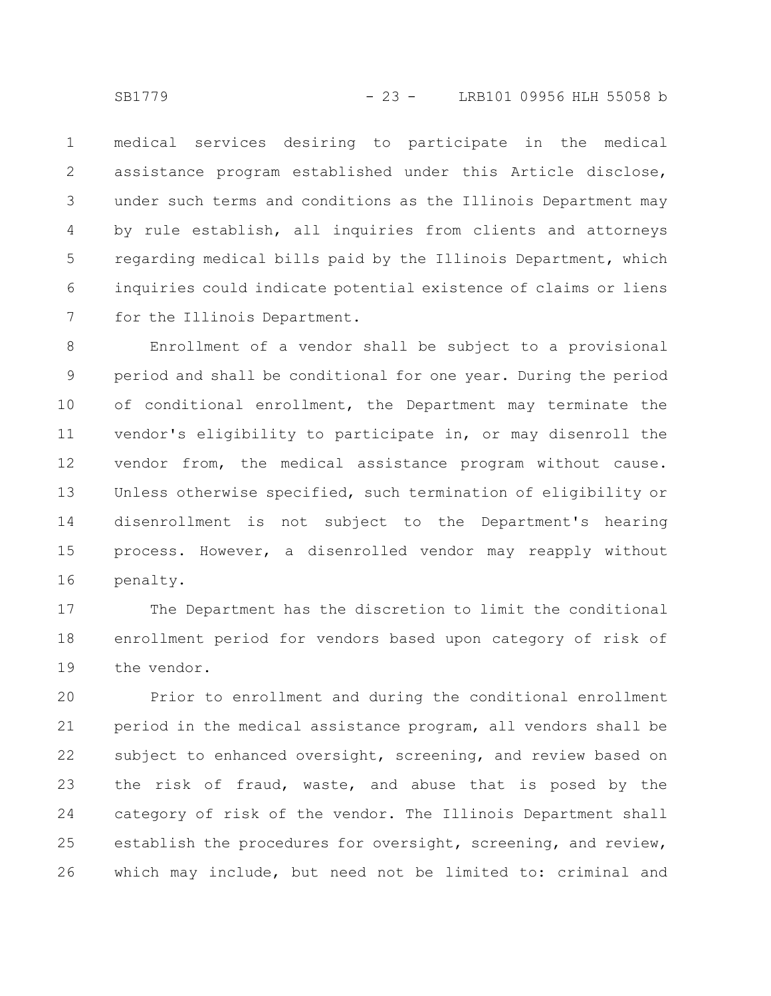medical services desiring to participate in the medical assistance program established under this Article disclose, under such terms and conditions as the Illinois Department may by rule establish, all inquiries from clients and attorneys regarding medical bills paid by the Illinois Department, which inquiries could indicate potential existence of claims or liens for the Illinois Department. 1 2 3 4 5 6 7

Enrollment of a vendor shall be subject to a provisional period and shall be conditional for one year. During the period of conditional enrollment, the Department may terminate the vendor's eligibility to participate in, or may disenroll the vendor from, the medical assistance program without cause. Unless otherwise specified, such termination of eligibility or disenrollment is not subject to the Department's hearing process. However, a disenrolled vendor may reapply without penalty. 8 9 10 11 12 13 14 15 16

The Department has the discretion to limit the conditional enrollment period for vendors based upon category of risk of the vendor. 17 18 19

Prior to enrollment and during the conditional enrollment period in the medical assistance program, all vendors shall be subject to enhanced oversight, screening, and review based on the risk of fraud, waste, and abuse that is posed by the category of risk of the vendor. The Illinois Department shall establish the procedures for oversight, screening, and review, which may include, but need not be limited to: criminal and 20 21 22 23 24 25 26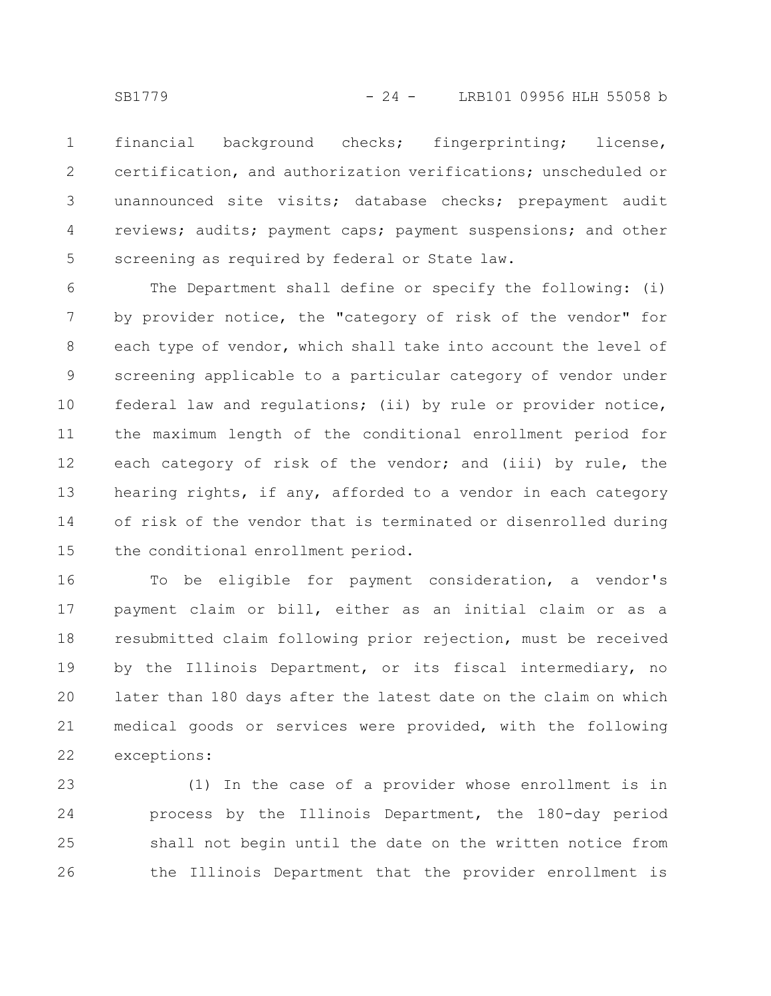financial background checks; fingerprinting; license, certification, and authorization verifications; unscheduled or unannounced site visits; database checks; prepayment audit reviews; audits; payment caps; payment suspensions; and other screening as required by federal or State law. 1 2 3 4 5

The Department shall define or specify the following: (i) by provider notice, the "category of risk of the vendor" for each type of vendor, which shall take into account the level of screening applicable to a particular category of vendor under federal law and regulations; (ii) by rule or provider notice, the maximum length of the conditional enrollment period for each category of risk of the vendor; and (iii) by rule, the hearing rights, if any, afforded to a vendor in each category of risk of the vendor that is terminated or disenrolled during the conditional enrollment period. 6 7 8 9 10 11 12 13 14 15

To be eligible for payment consideration, a vendor's payment claim or bill, either as an initial claim or as a resubmitted claim following prior rejection, must be received by the Illinois Department, or its fiscal intermediary, no later than 180 days after the latest date on the claim on which medical goods or services were provided, with the following exceptions: 16 17 18 19 20 21 22

(1) In the case of a provider whose enrollment is in process by the Illinois Department, the 180-day period shall not begin until the date on the written notice from the Illinois Department that the provider enrollment is 23 24 25 26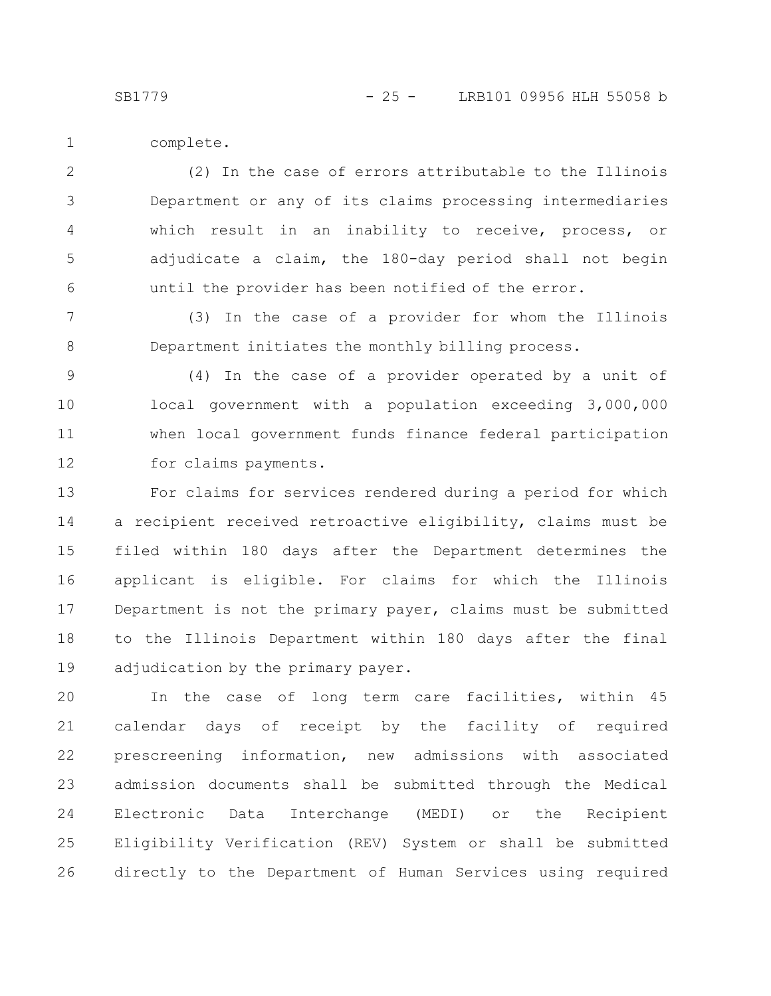complete. 1

(2) In the case of errors attributable to the Illinois Department or any of its claims processing intermediaries which result in an inability to receive, process, or adjudicate a claim, the 180-day period shall not begin until the provider has been notified of the error. 2 3 4 5 6

(3) In the case of a provider for whom the Illinois Department initiates the monthly billing process. 7 8

(4) In the case of a provider operated by a unit of local government with a population exceeding 3,000,000 when local government funds finance federal participation for claims payments. 9 10 11 12

For claims for services rendered during a period for which a recipient received retroactive eligibility, claims must be filed within 180 days after the Department determines the applicant is eligible. For claims for which the Illinois Department is not the primary payer, claims must be submitted to the Illinois Department within 180 days after the final adjudication by the primary payer. 13 14 15 16 17 18 19

In the case of long term care facilities, within 45 calendar days of receipt by the facility of required prescreening information, new admissions with associated admission documents shall be submitted through the Medical Electronic Data Interchange (MEDI) or the Recipient Eligibility Verification (REV) System or shall be submitted directly to the Department of Human Services using required 20 21 22 23 24 25 26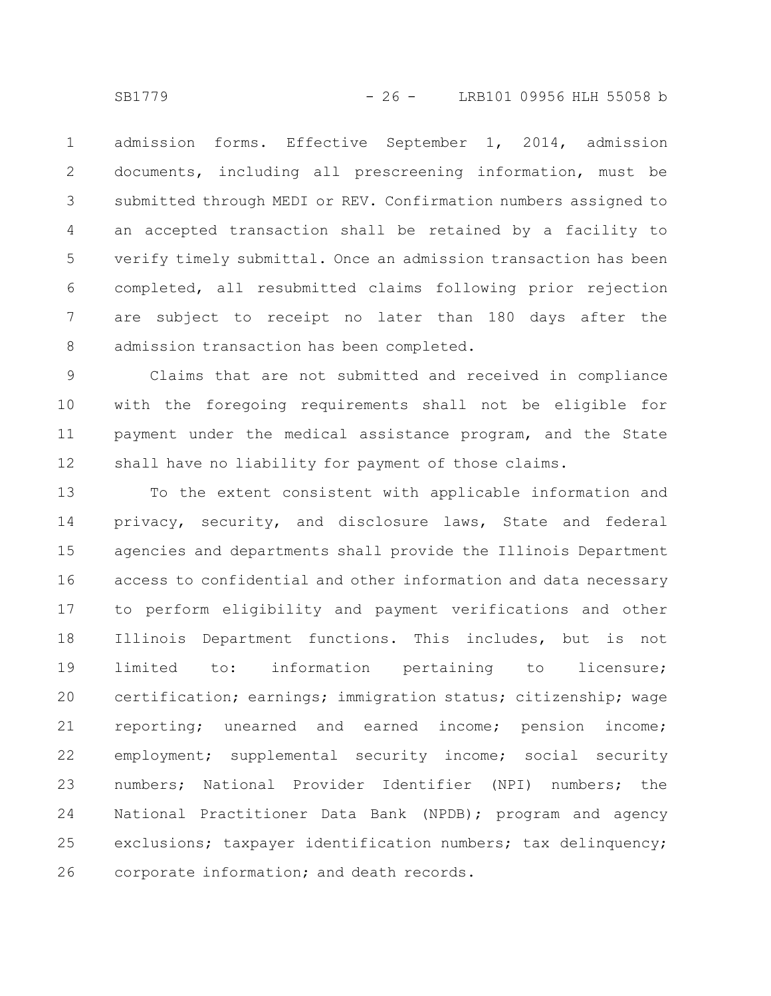admission forms. Effective September 1, 2014, admission documents, including all prescreening information, must be submitted through MEDI or REV. Confirmation numbers assigned to an accepted transaction shall be retained by a facility to verify timely submittal. Once an admission transaction has been completed, all resubmitted claims following prior rejection are subject to receipt no later than 180 days after the admission transaction has been completed. 1 2 3 4 5 6 7 8

Claims that are not submitted and received in compliance with the foregoing requirements shall not be eligible for payment under the medical assistance program, and the State shall have no liability for payment of those claims. 9 10 11 12

To the extent consistent with applicable information and privacy, security, and disclosure laws, State and federal agencies and departments shall provide the Illinois Department access to confidential and other information and data necessary to perform eligibility and payment verifications and other Illinois Department functions. This includes, but is not limited to: information pertaining to licensure; certification; earnings; immigration status; citizenship; wage reporting; unearned and earned income; pension income; employment; supplemental security income; social security numbers; National Provider Identifier (NPI) numbers; the National Practitioner Data Bank (NPDB); program and agency exclusions; taxpayer identification numbers; tax delinquency; corporate information; and death records. 13 14 15 16 17 18 19 20 21 22 23 24 25 26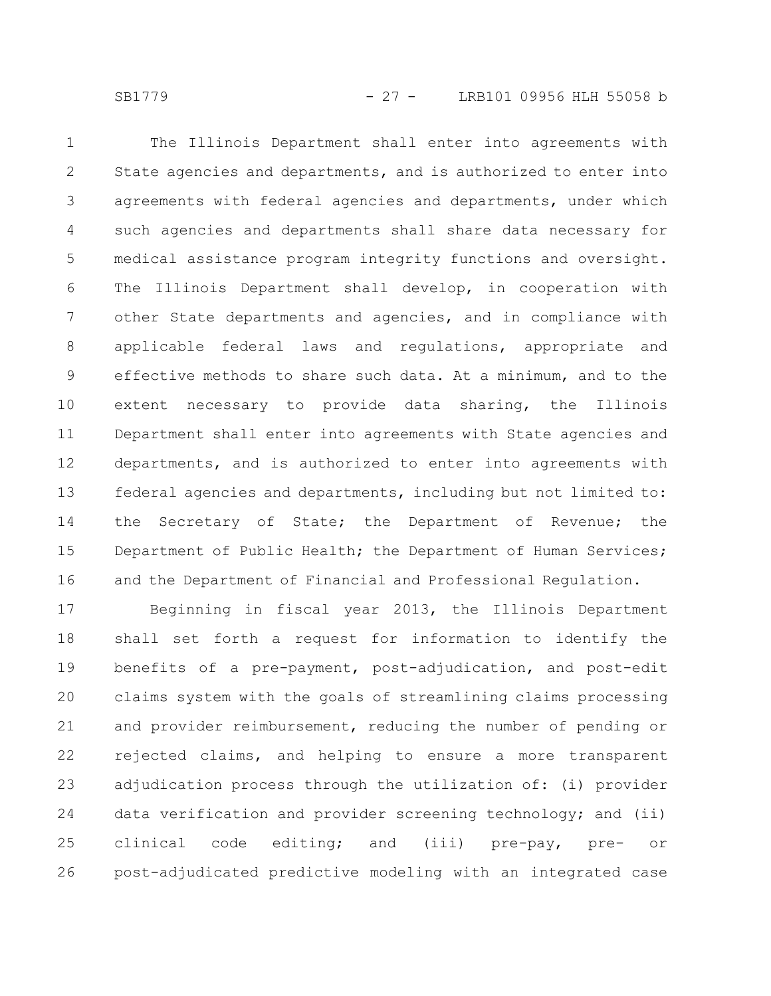The Illinois Department shall enter into agreements with State agencies and departments, and is authorized to enter into agreements with federal agencies and departments, under which such agencies and departments shall share data necessary for medical assistance program integrity functions and oversight. The Illinois Department shall develop, in cooperation with other State departments and agencies, and in compliance with applicable federal laws and regulations, appropriate and effective methods to share such data. At a minimum, and to the extent necessary to provide data sharing, the Illinois Department shall enter into agreements with State agencies and departments, and is authorized to enter into agreements with federal agencies and departments, including but not limited to: the Secretary of State; the Department of Revenue; the Department of Public Health; the Department of Human Services; and the Department of Financial and Professional Regulation. 1 2 3 4 5 6 7 8 9 10 11 12 13 14 15 16

Beginning in fiscal year 2013, the Illinois Department shall set forth a request for information to identify the benefits of a pre-payment, post-adjudication, and post-edit claims system with the goals of streamlining claims processing and provider reimbursement, reducing the number of pending or rejected claims, and helping to ensure a more transparent adjudication process through the utilization of: (i) provider data verification and provider screening technology; and (ii) clinical code editing; and (iii) pre-pay, pre- or post-adjudicated predictive modeling with an integrated case 17 18 19 20 21 22 23 24 25 26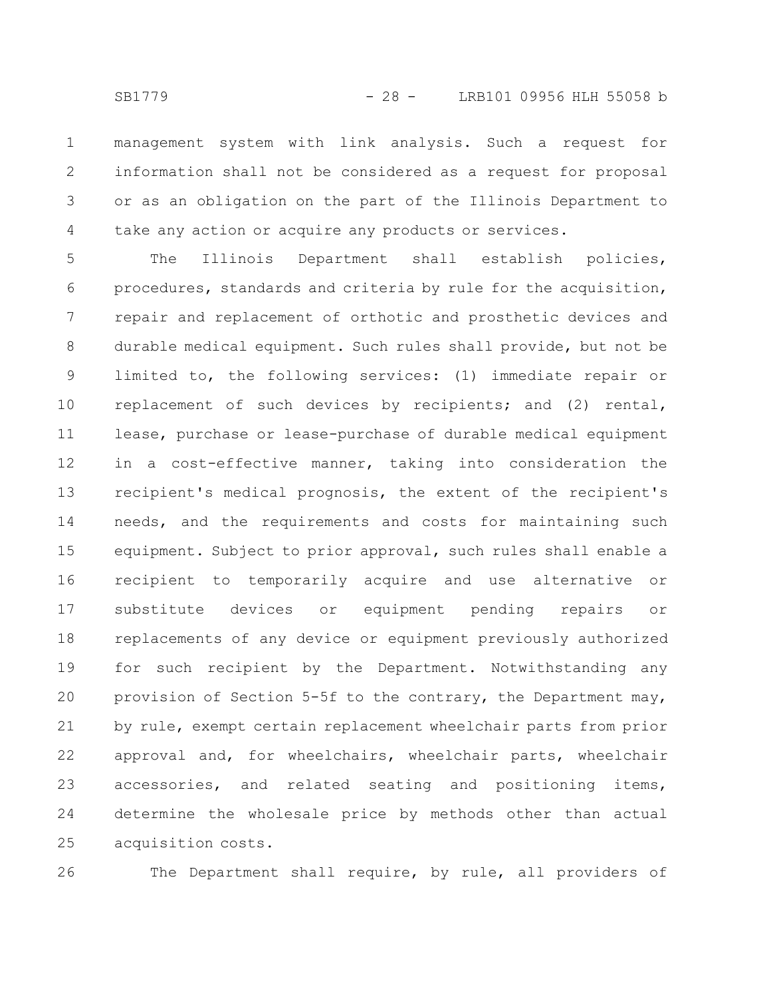management system with link analysis. Such a request for information shall not be considered as a request for proposal or as an obligation on the part of the Illinois Department to take any action or acquire any products or services. 1 2 3 4

The Illinois Department shall establish policies, procedures, standards and criteria by rule for the acquisition, repair and replacement of orthotic and prosthetic devices and durable medical equipment. Such rules shall provide, but not be limited to, the following services: (1) immediate repair or replacement of such devices by recipients; and (2) rental, lease, purchase or lease-purchase of durable medical equipment in a cost-effective manner, taking into consideration the recipient's medical prognosis, the extent of the recipient's needs, and the requirements and costs for maintaining such equipment. Subject to prior approval, such rules shall enable a recipient to temporarily acquire and use alternative or substitute devices or equipment pending repairs or replacements of any device or equipment previously authorized for such recipient by the Department. Notwithstanding any provision of Section 5-5f to the contrary, the Department may, by rule, exempt certain replacement wheelchair parts from prior approval and, for wheelchairs, wheelchair parts, wheelchair accessories, and related seating and positioning items, determine the wholesale price by methods other than actual acquisition costs. 5 6 7 8 9 10 11 12 13 14 15 16 17 18 19 20 21 22 23 24 25

26

The Department shall require, by rule, all providers of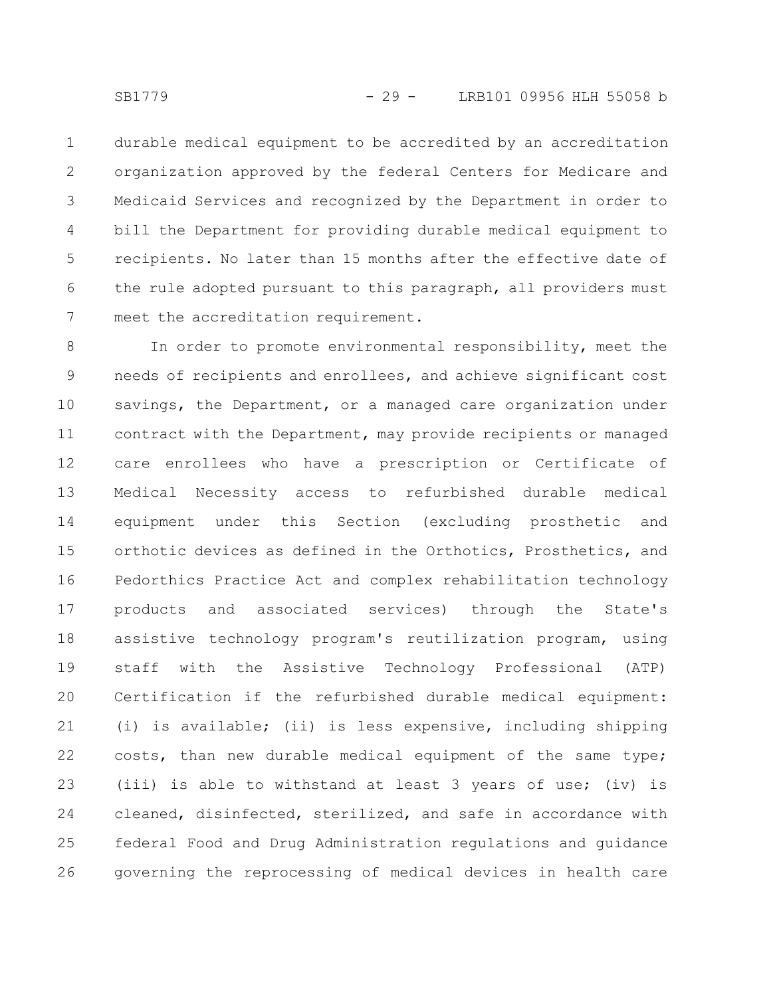durable medical equipment to be accredited by an accreditation organization approved by the federal Centers for Medicare and Medicaid Services and recognized by the Department in order to bill the Department for providing durable medical equipment to recipients. No later than 15 months after the effective date of the rule adopted pursuant to this paragraph, all providers must meet the accreditation requirement. 1 2 3 4 5 6 7

In order to promote environmental responsibility, meet the needs of recipients and enrollees, and achieve significant cost savings, the Department, or a managed care organization under contract with the Department, may provide recipients or managed care enrollees who have a prescription or Certificate of Medical Necessity access to refurbished durable medical equipment under this Section (excluding prosthetic and orthotic devices as defined in the Orthotics, Prosthetics, and Pedorthics Practice Act and complex rehabilitation technology products and associated services) through the State's assistive technology program's reutilization program, using staff with the Assistive Technology Professional (ATP) Certification if the refurbished durable medical equipment: (i) is available; (ii) is less expensive, including shipping costs, than new durable medical equipment of the same type; (iii) is able to withstand at least 3 years of use; (iv) is cleaned, disinfected, sterilized, and safe in accordance with federal Food and Drug Administration regulations and guidance governing the reprocessing of medical devices in health care 8 9 10 11 12 13 14 15 16 17 18 19 20 21 22 23 24 25 26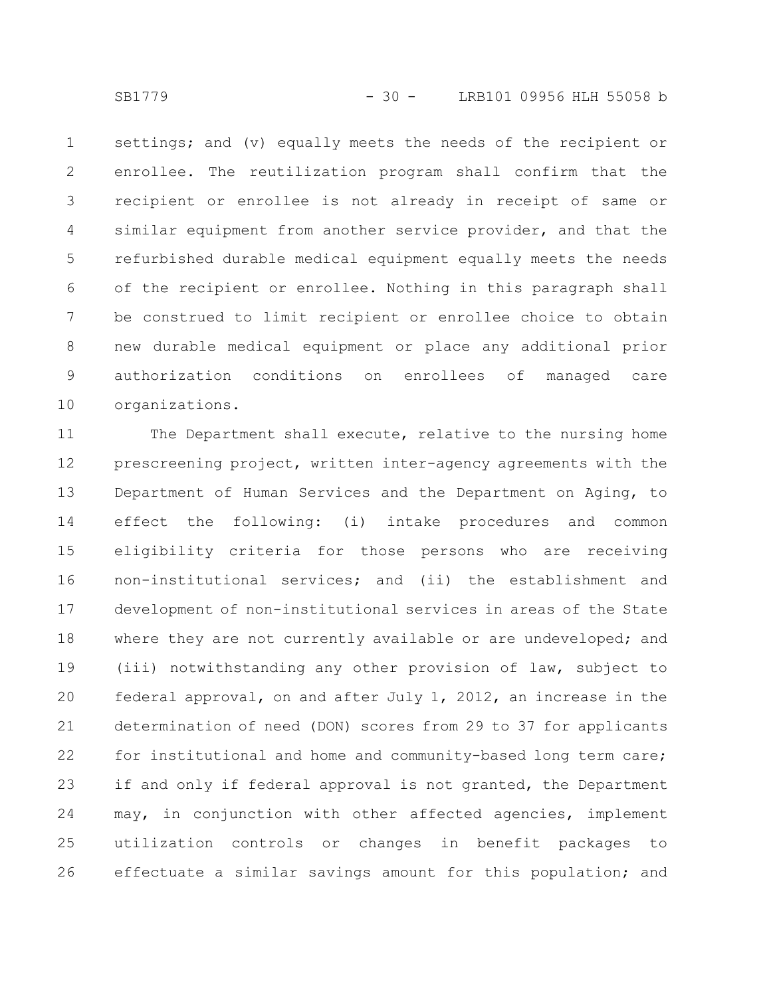settings; and (v) equally meets the needs of the recipient or enrollee. The reutilization program shall confirm that the recipient or enrollee is not already in receipt of same or similar equipment from another service provider, and that the refurbished durable medical equipment equally meets the needs of the recipient or enrollee. Nothing in this paragraph shall be construed to limit recipient or enrollee choice to obtain new durable medical equipment or place any additional prior authorization conditions on enrollees of managed care organizations. 1 2 3 4 5 6 7 8 9 10

The Department shall execute, relative to the nursing home prescreening project, written inter-agency agreements with the Department of Human Services and the Department on Aging, to effect the following: (i) intake procedures and common eligibility criteria for those persons who are receiving non-institutional services; and (ii) the establishment and development of non-institutional services in areas of the State where they are not currently available or are undeveloped; and (iii) notwithstanding any other provision of law, subject to federal approval, on and after July 1, 2012, an increase in the determination of need (DON) scores from 29 to 37 for applicants for institutional and home and community-based long term care; if and only if federal approval is not granted, the Department may, in conjunction with other affected agencies, implement utilization controls or changes in benefit packages to effectuate a similar savings amount for this population; and 11 12 13 14 15 16 17 18 19 20 21 22 23 24 25 26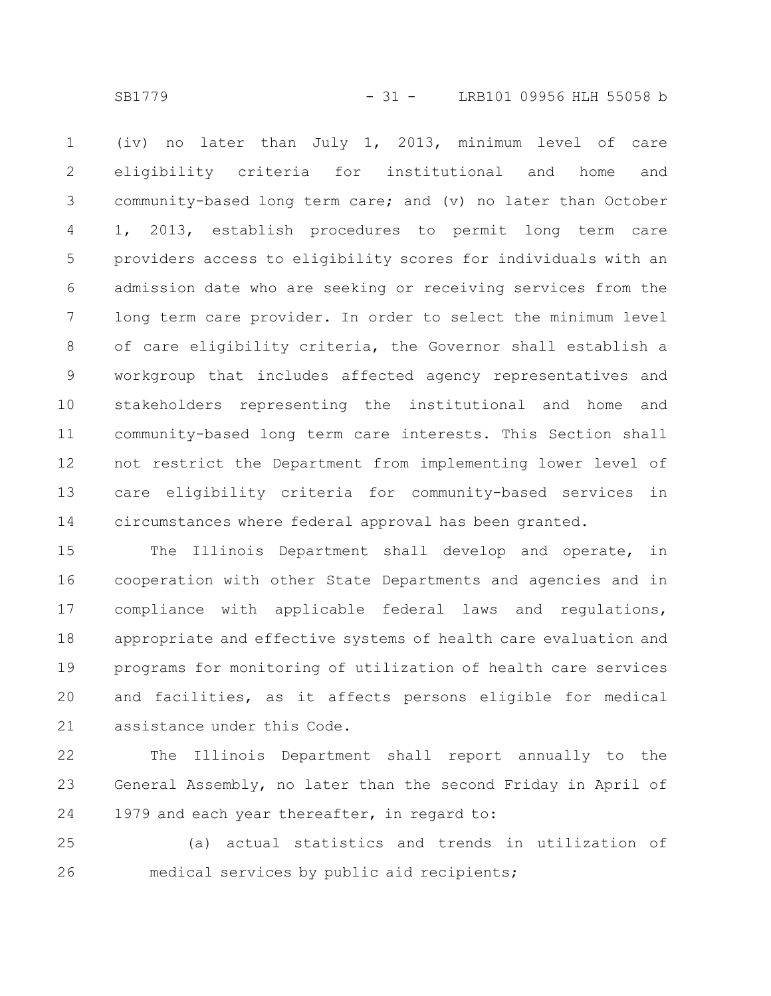SB1779 - 31 - LRB101 09956 HLH 55058 b

(iv) no later than July 1, 2013, minimum level of care eligibility criteria for institutional and home and community-based long term care; and (v) no later than October 1, 2013, establish procedures to permit long term care providers access to eligibility scores for individuals with an admission date who are seeking or receiving services from the long term care provider. In order to select the minimum level of care eligibility criteria, the Governor shall establish a workgroup that includes affected agency representatives and stakeholders representing the institutional and home and community-based long term care interests. This Section shall not restrict the Department from implementing lower level of care eligibility criteria for community-based services in circumstances where federal approval has been granted. 1 2 3 4 5 6 7 8 9 10 11 12 13 14

The Illinois Department shall develop and operate, in cooperation with other State Departments and agencies and in compliance with applicable federal laws and regulations, appropriate and effective systems of health care evaluation and programs for monitoring of utilization of health care services and facilities, as it affects persons eligible for medical assistance under this Code. 15 16 17 18 19 20 21

The Illinois Department shall report annually to the General Assembly, no later than the second Friday in April of 1979 and each year thereafter, in regard to: 22 23 24

(a) actual statistics and trends in utilization of medical services by public aid recipients; 25 26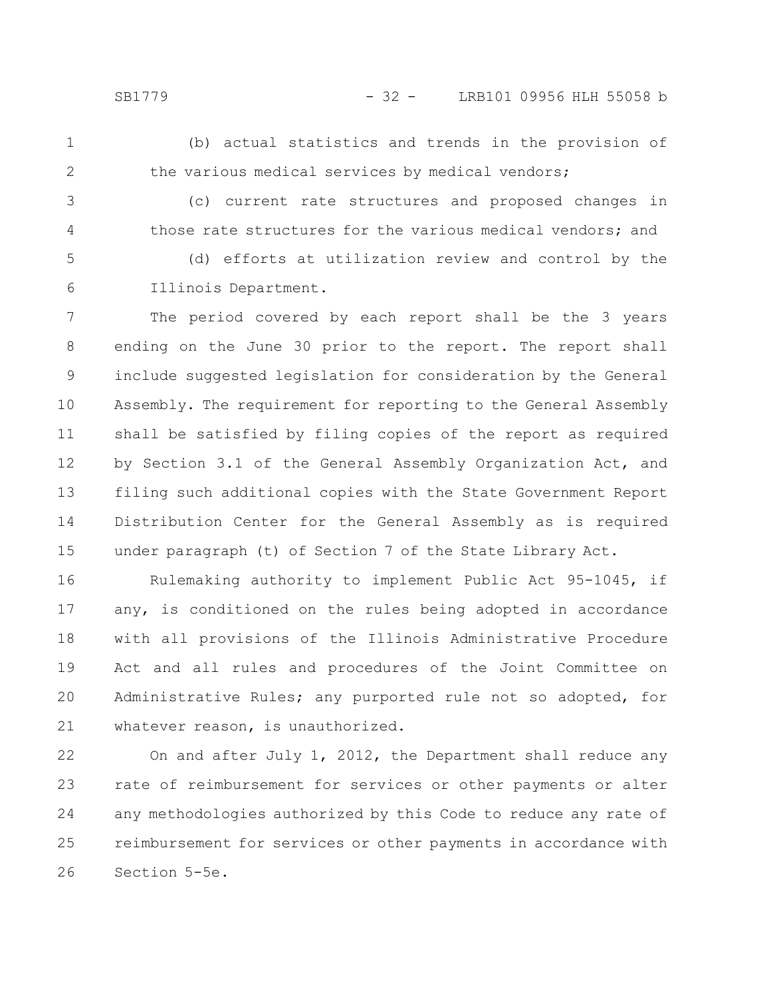(b) actual statistics and trends in the provision of the various medical services by medical vendors;

3

4

1

2

(c) current rate structures and proposed changes in those rate structures for the various medical vendors; and

(d) efforts at utilization review and control by the Illinois Department. 5 6

The period covered by each report shall be the 3 years ending on the June 30 prior to the report. The report shall include suggested legislation for consideration by the General Assembly. The requirement for reporting to the General Assembly shall be satisfied by filing copies of the report as required by Section 3.1 of the General Assembly Organization Act, and filing such additional copies with the State Government Report Distribution Center for the General Assembly as is required under paragraph (t) of Section 7 of the State Library Act. 7 8 9 10 11 12 13 14 15

Rulemaking authority to implement Public Act 95-1045, if any, is conditioned on the rules being adopted in accordance with all provisions of the Illinois Administrative Procedure Act and all rules and procedures of the Joint Committee on Administrative Rules; any purported rule not so adopted, for whatever reason, is unauthorized. 16 17 18 19 20 21

On and after July 1, 2012, the Department shall reduce any rate of reimbursement for services or other payments or alter any methodologies authorized by this Code to reduce any rate of reimbursement for services or other payments in accordance with Section 5-5e. 22 23 24 25 26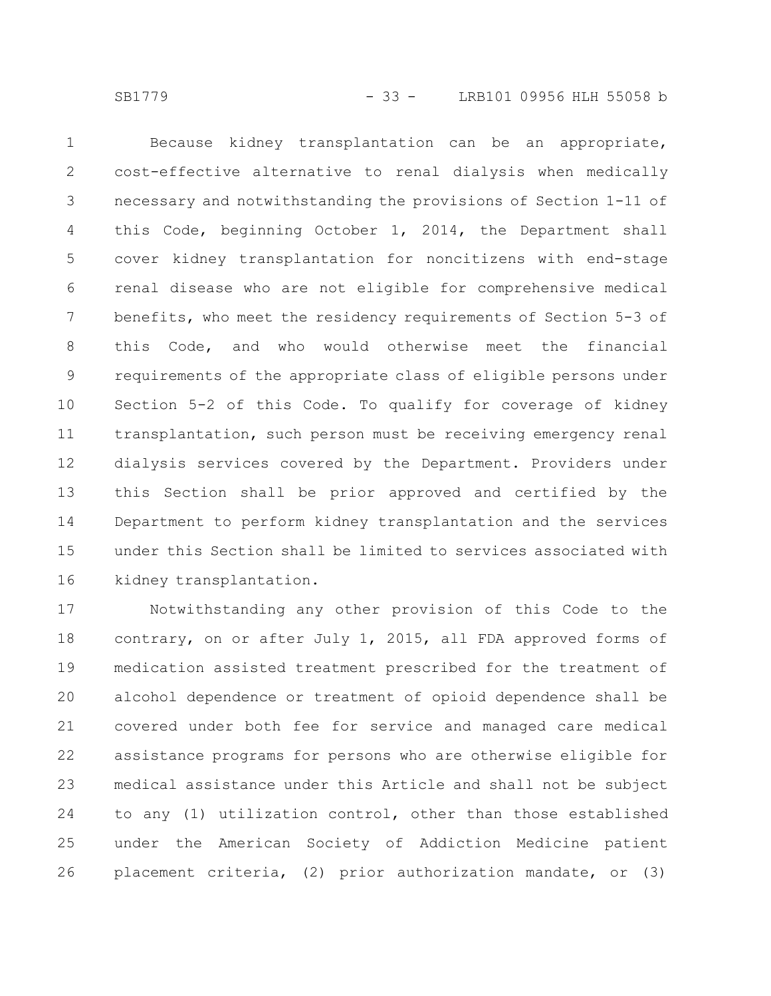Because kidney transplantation can be an appropriate, cost-effective alternative to renal dialysis when medically necessary and notwithstanding the provisions of Section 1-11 of this Code, beginning October 1, 2014, the Department shall cover kidney transplantation for noncitizens with end-stage renal disease who are not eligible for comprehensive medical benefits, who meet the residency requirements of Section 5-3 of this Code, and who would otherwise meet the financial requirements of the appropriate class of eligible persons under Section 5-2 of this Code. To qualify for coverage of kidney transplantation, such person must be receiving emergency renal dialysis services covered by the Department. Providers under this Section shall be prior approved and certified by the Department to perform kidney transplantation and the services under this Section shall be limited to services associated with kidney transplantation. 1 2 3 4 5 6 7 8 9 10 11 12 13 14 15 16

Notwithstanding any other provision of this Code to the contrary, on or after July 1, 2015, all FDA approved forms of medication assisted treatment prescribed for the treatment of alcohol dependence or treatment of opioid dependence shall be covered under both fee for service and managed care medical assistance programs for persons who are otherwise eligible for medical assistance under this Article and shall not be subject to any (1) utilization control, other than those established under the American Society of Addiction Medicine patient placement criteria, (2) prior authorization mandate, or (3) 17 18 19 20 21 22 23 24 25 26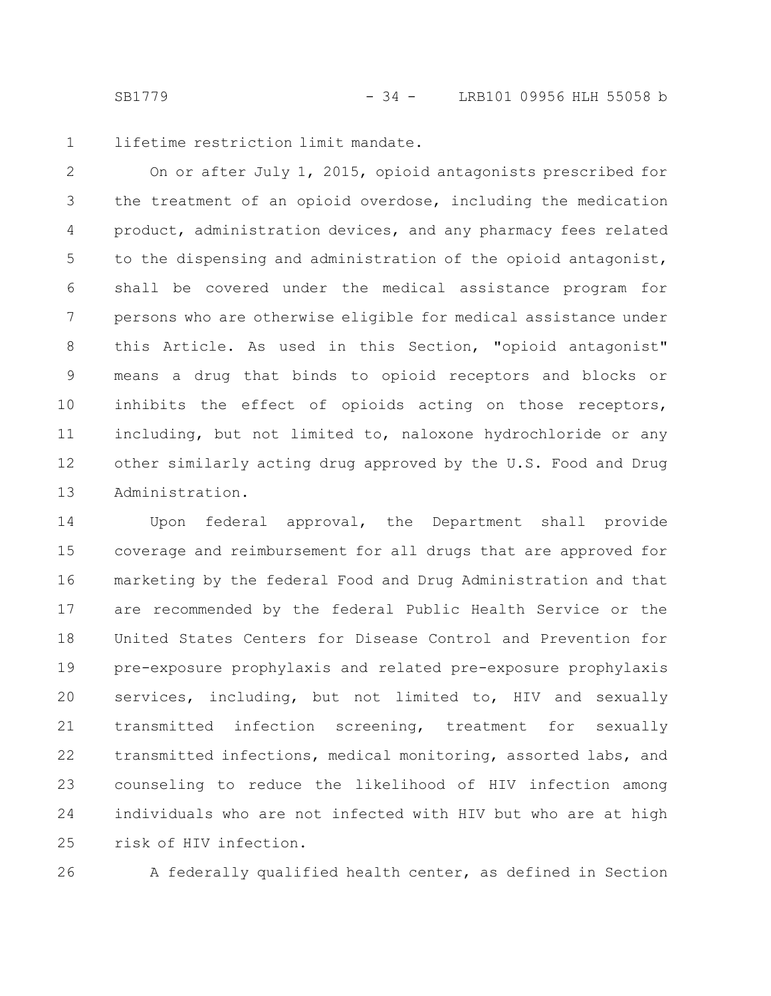lifetime restriction limit mandate. 1

On or after July 1, 2015, opioid antagonists prescribed for the treatment of an opioid overdose, including the medication product, administration devices, and any pharmacy fees related to the dispensing and administration of the opioid antagonist, shall be covered under the medical assistance program for persons who are otherwise eligible for medical assistance under this Article. As used in this Section, "opioid antagonist" means a drug that binds to opioid receptors and blocks or inhibits the effect of opioids acting on those receptors, including, but not limited to, naloxone hydrochloride or any other similarly acting drug approved by the U.S. Food and Drug Administration. 2 3 4 5 6 7 8 9 10 11 12 13

Upon federal approval, the Department shall provide coverage and reimbursement for all drugs that are approved for marketing by the federal Food and Drug Administration and that are recommended by the federal Public Health Service or the United States Centers for Disease Control and Prevention for pre-exposure prophylaxis and related pre-exposure prophylaxis services, including, but not limited to, HIV and sexually transmitted infection screening, treatment for sexually transmitted infections, medical monitoring, assorted labs, and counseling to reduce the likelihood of HIV infection among individuals who are not infected with HIV but who are at high risk of HIV infection. 14 15 16 17 18 19 20 21 22 23 24 25

26

A federally qualified health center, as defined in Section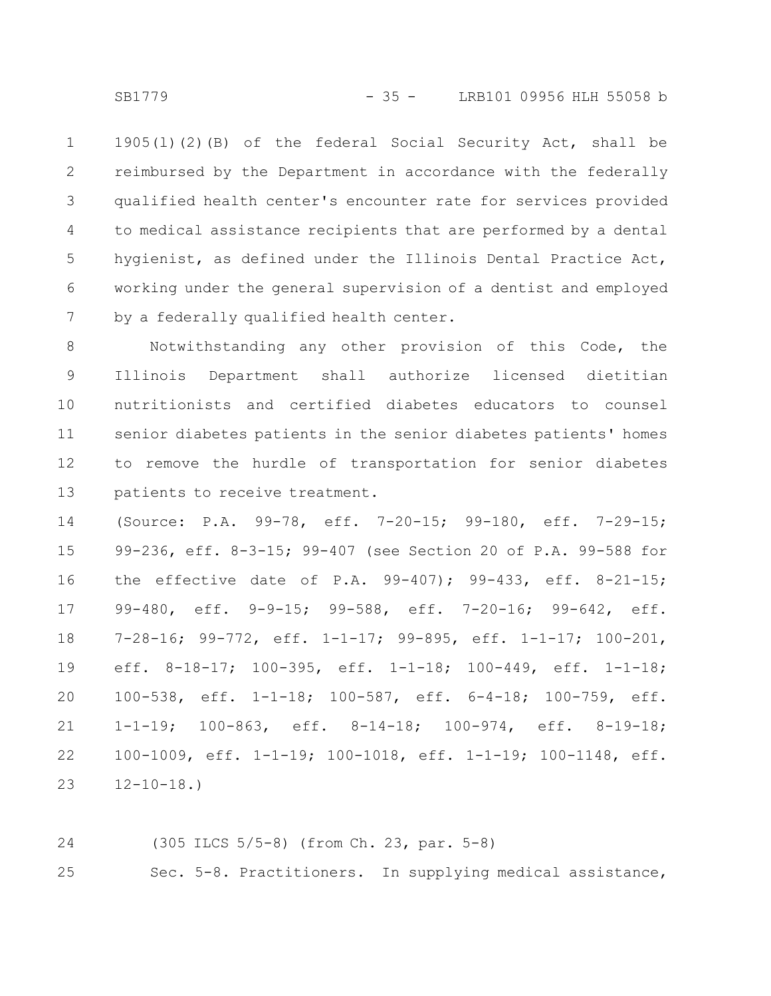1905(l)(2)(B) of the federal Social Security Act, shall be reimbursed by the Department in accordance with the federally qualified health center's encounter rate for services provided to medical assistance recipients that are performed by a dental hygienist, as defined under the Illinois Dental Practice Act, working under the general supervision of a dentist and employed by a federally qualified health center. 1 2 3 4 5 6 7

Notwithstanding any other provision of this Code, the Illinois Department shall authorize licensed dietitian nutritionists and certified diabetes educators to counsel senior diabetes patients in the senior diabetes patients' homes to remove the hurdle of transportation for senior diabetes patients to receive treatment. 8 9 10 11 12 13

(Source: P.A. 99-78, eff. 7-20-15; 99-180, eff. 7-29-15; 99-236, eff. 8-3-15; 99-407 (see Section 20 of P.A. 99-588 for the effective date of P.A. 99-407); 99-433, eff. 8-21-15; 99-480, eff. 9-9-15; 99-588, eff. 7-20-16; 99-642, eff. 7-28-16; 99-772, eff. 1-1-17; 99-895, eff. 1-1-17; 100-201, eff. 8-18-17; 100-395, eff. 1-1-18; 100-449, eff. 1-1-18; 100-538, eff. 1-1-18; 100-587, eff. 6-4-18; 100-759, eff. 1-1-19; 100-863, eff. 8-14-18; 100-974, eff. 8-19-18; 100-1009, eff. 1-1-19; 100-1018, eff. 1-1-19; 100-1148, eff.  $12 - 10 - 18.$ 14 15 16 17 18 19 20 21 22 23

24

(305 ILCS 5/5-8) (from Ch. 23, par. 5-8)

Sec. 5-8. Practitioners. In supplying medical assistance, 25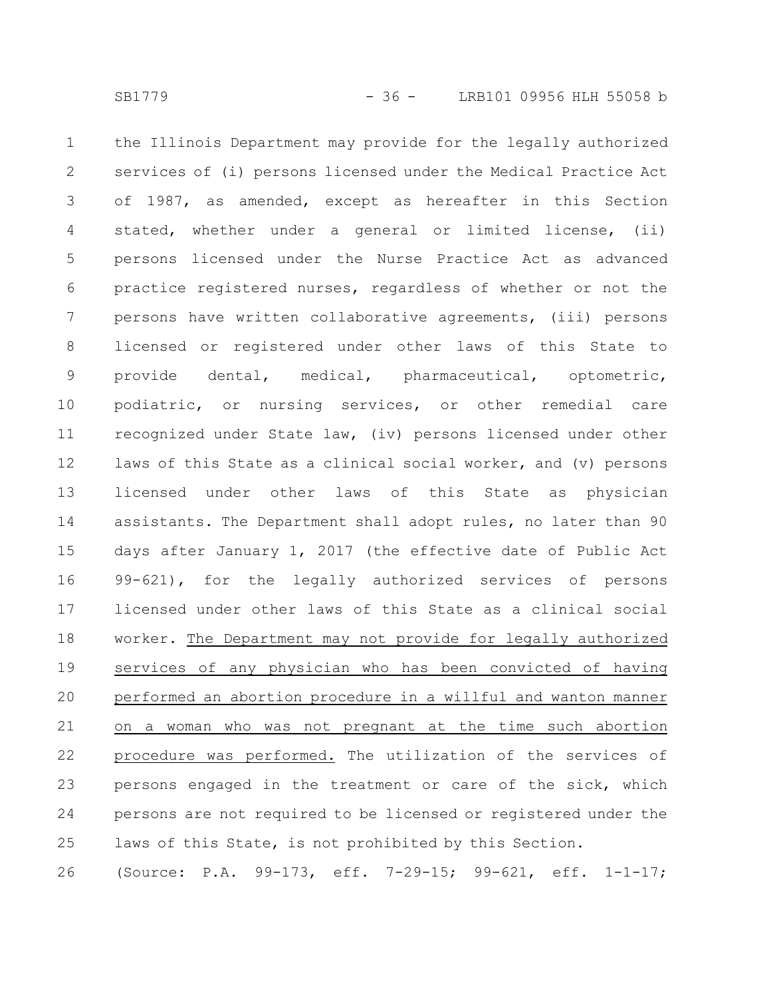the Illinois Department may provide for the legally authorized services of (i) persons licensed under the Medical Practice Act of 1987, as amended, except as hereafter in this Section stated, whether under a general or limited license, (ii) persons licensed under the Nurse Practice Act as advanced practice registered nurses, regardless of whether or not the persons have written collaborative agreements, (iii) persons licensed or registered under other laws of this State to provide dental, medical, pharmaceutical, optometric, podiatric, or nursing services, or other remedial care recognized under State law, (iv) persons licensed under other laws of this State as a clinical social worker, and (v) persons licensed under other laws of this State as physician assistants. The Department shall adopt rules, no later than 90 days after January 1, 2017 (the effective date of Public Act 99-621), for the legally authorized services of persons licensed under other laws of this State as a clinical social worker. The Department may not provide for legally authorized services of any physician who has been convicted of having performed an abortion procedure in a willful and wanton manner on a woman who was not pregnant at the time such abortion procedure was performed. The utilization of the services of persons engaged in the treatment or care of the sick, which persons are not required to be licensed or registered under the laws of this State, is not prohibited by this Section. 1 2 3 4 5 6 7 8 9 10 11 12 13 14 15 16 17 18 19 20 21 22 23 24 25

(Source: P.A. 99-173, eff. 7-29-15; 99-621, eff. 1-1-17; 26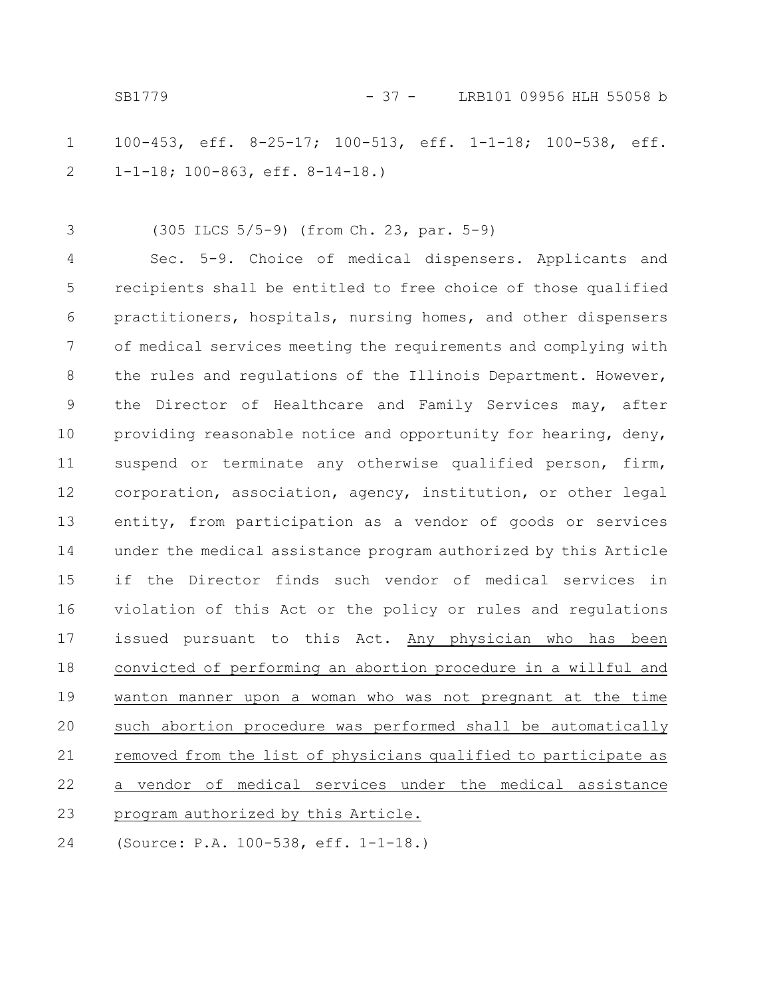100-453, eff. 8-25-17; 100-513, eff. 1-1-18; 100-538, eff. 1-1-18; 100-863, eff. 8-14-18.) 1 2

(305 ILCS 5/5-9) (from Ch. 23, par. 5-9) 3

Sec. 5-9. Choice of medical dispensers. Applicants and recipients shall be entitled to free choice of those qualified practitioners, hospitals, nursing homes, and other dispensers of medical services meeting the requirements and complying with the rules and regulations of the Illinois Department. However, the Director of Healthcare and Family Services may, after providing reasonable notice and opportunity for hearing, deny, suspend or terminate any otherwise qualified person, firm, corporation, association, agency, institution, or other legal entity, from participation as a vendor of goods or services under the medical assistance program authorized by this Article if the Director finds such vendor of medical services in violation of this Act or the policy or rules and regulations issued pursuant to this Act. Any physician who has been convicted of performing an abortion procedure in a willful and wanton manner upon a woman who was not pregnant at the time such abortion procedure was performed shall be automatically removed from the list of physicians qualified to participate as a vendor of medical services under the medical assistance program authorized by this Article. (Source: P.A. 100-538, eff. 1-1-18.) 4 5 6 7 8 9 10 11 12 13 14 15 16 17 18 19 20 21 22 23 24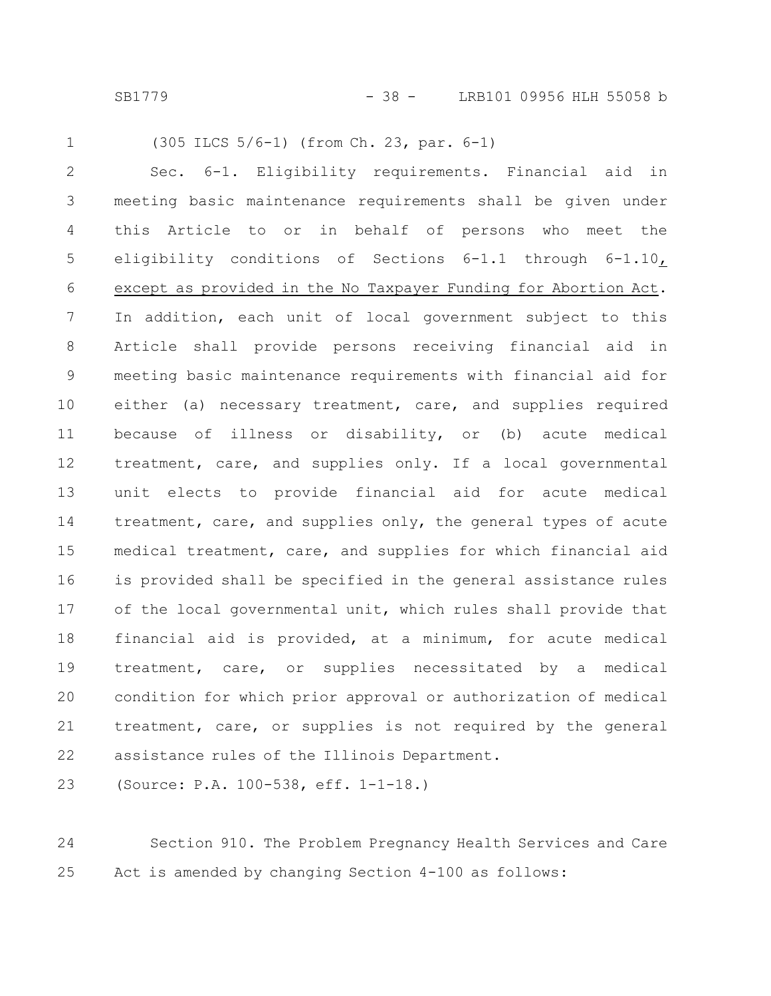SB1779 - 38 - LRB101 09956 HLH 55058 b

1

(305 ILCS 5/6-1) (from Ch. 23, par. 6-1)

Sec. 6-1. Eligibility requirements. Financial aid in meeting basic maintenance requirements shall be given under this Article to or in behalf of persons who meet the eligibility conditions of Sections 6-1.1 through 6-1.10, except as provided in the No Taxpayer Funding for Abortion Act. In addition, each unit of local government subject to this Article shall provide persons receiving financial aid in meeting basic maintenance requirements with financial aid for either (a) necessary treatment, care, and supplies required because of illness or disability, or (b) acute medical treatment, care, and supplies only. If a local governmental unit elects to provide financial aid for acute medical treatment, care, and supplies only, the general types of acute medical treatment, care, and supplies for which financial aid is provided shall be specified in the general assistance rules of the local governmental unit, which rules shall provide that financial aid is provided, at a minimum, for acute medical treatment, care, or supplies necessitated by a medical condition for which prior approval or authorization of medical treatment, care, or supplies is not required by the general assistance rules of the Illinois Department. 2 3 4 5 6 7 8 9 10 11 12 13 14 15 16 17 18 19 20 21 22

(Source: P.A. 100-538, eff. 1-1-18.) 23

Section 910. The Problem Pregnancy Health Services and Care Act is amended by changing Section 4-100 as follows: 24 25